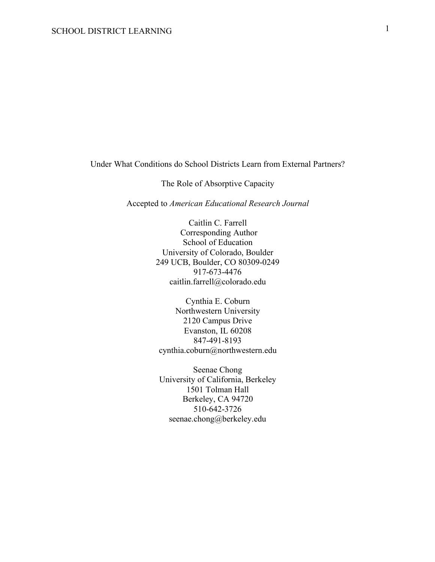Under What Conditions do School Districts Learn from External Partners?

The Role of Absorptive Capacity

Accepted to *American Educational Research Journal*

Caitlin C. Farrell Corresponding Author School of Education University of Colorado, Boulder 249 UCB, Boulder, CO 80309-0249 917-673-4476 caitlin.farrell@colorado.edu

Cynthia E. Coburn Northwestern University 2120 Campus Drive Evanston, IL 60208 847-491-8193 cynthia.coburn@northwestern.edu

Seenae Chong University of California, Berkeley 1501 Tolman Hall Berkeley, CA 94720 510-642-3726 seenae.chong@berkeley.edu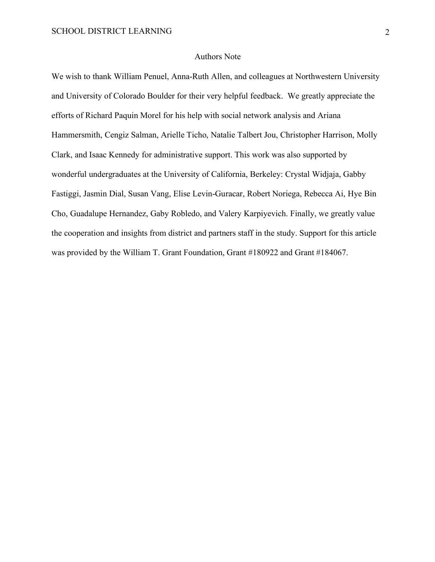#### Authors Note

We wish to thank William Penuel, Anna-Ruth Allen, and colleagues at Northwestern University and University of Colorado Boulder for their very helpful feedback. We greatly appreciate the efforts of Richard Paquin Morel for his help with social network analysis and Ariana Hammersmith, Cengiz Salman, Arielle Ticho, Natalie Talbert Jou, Christopher Harrison, Molly Clark, and Isaac Kennedy for administrative support. This work was also supported by wonderful undergraduates at the University of California, Berkeley: Crystal Widjaja, Gabby Fastiggi, Jasmin Dial, Susan Vang, Elise Levin-Guracar, Robert Noriega, Rebecca Ai, Hye Bin Cho, Guadalupe Hernandez, Gaby Robledo, and Valery Karpiyevich. Finally, we greatly value the cooperation and insights from district and partners staff in the study. Support for this article was provided by the William T. Grant Foundation, Grant #180922 and Grant #184067.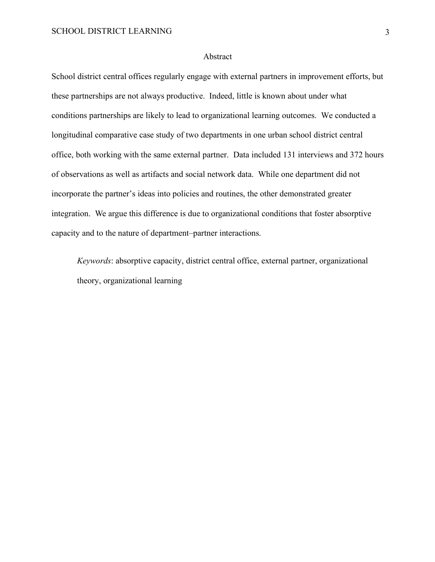#### Abstract

School district central offices regularly engage with external partners in improvement efforts, but these partnerships are not always productive. Indeed, little is known about under what conditions partnerships are likely to lead to organizational learning outcomes. We conducted a longitudinal comparative case study of two departments in one urban school district central office, both working with the same external partner. Data included 131 interviews and 372 hours of observations as well as artifacts and social network data. While one department did not incorporate the partner's ideas into policies and routines, the other demonstrated greater integration. We argue this difference is due to organizational conditions that foster absorptive capacity and to the nature of department–partner interactions.

*Keywords*: absorptive capacity, district central office, external partner, organizational theory, organizational learning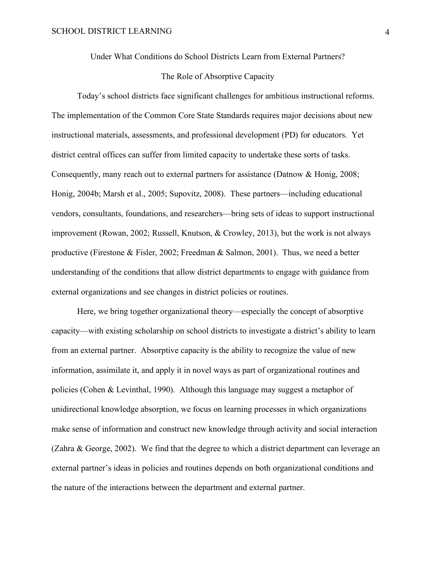Under What Conditions do School Districts Learn from External Partners?

#### The Role of Absorptive Capacity

Today's school districts face significant challenges for ambitious instructional reforms. The implementation of the Common Core State Standards requires major decisions about new instructional materials, assessments, and professional development (PD) for educators. Yet district central offices can suffer from limited capacity to undertake these sorts of tasks. Consequently, many reach out to external partners for assistance (Datnow & Honig, 2008; Honig, 2004b; Marsh et al., 2005; Supovitz, 2008). These partners—including educational vendors, consultants, foundations, and researchers—bring sets of ideas to support instructional improvement (Rowan, 2002; Russell, Knutson, & Crowley, 2013), but the work is not always productive (Firestone & Fisler, 2002; Freedman & Salmon, 2001). Thus, we need a better understanding of the conditions that allow district departments to engage with guidance from external organizations and see changes in district policies or routines.

Here, we bring together organizational theory—especially the concept of absorptive capacity—with existing scholarship on school districts to investigate a district's ability to learn from an external partner. Absorptive capacity is the ability to recognize the value of new information, assimilate it, and apply it in novel ways as part of organizational routines and policies (Cohen & Levinthal, 1990). Although this language may suggest a metaphor of unidirectional knowledge absorption, we focus on learning processes in which organizations make sense of information and construct new knowledge through activity and social interaction (Zahra & George, 2002). We find that the degree to which a district department can leverage an external partner's ideas in policies and routines depends on both organizational conditions and the nature of the interactions between the department and external partner.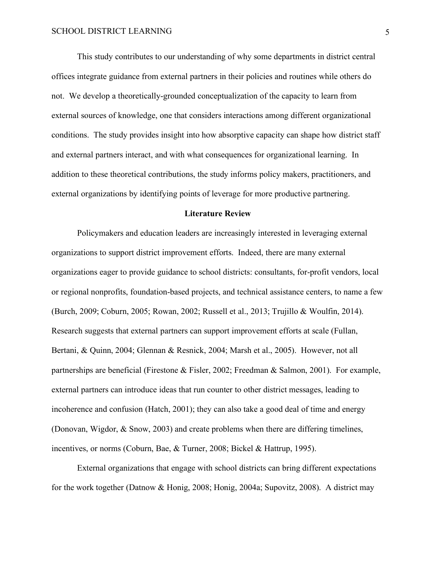This study contributes to our understanding of why some departments in district central offices integrate guidance from external partners in their policies and routines while others do not. We develop a theoretically-grounded conceptualization of the capacity to learn from external sources of knowledge, one that considers interactions among different organizational conditions. The study provides insight into how absorptive capacity can shape how district staff and external partners interact, and with what consequences for organizational learning. In addition to these theoretical contributions, the study informs policy makers, practitioners, and external organizations by identifying points of leverage for more productive partnering.

#### **Literature Review**

Policymakers and education leaders are increasingly interested in leveraging external organizations to support district improvement efforts. Indeed, there are many external organizations eager to provide guidance to school districts: consultants, for-profit vendors, local or regional nonprofits, foundation-based projects, and technical assistance centers, to name a few (Burch, 2009; Coburn, 2005; Rowan, 2002; Russell et al., 2013; Trujillo & Woulfin, 2014). Research suggests that external partners can support improvement efforts at scale (Fullan, Bertani, & Quinn, 2004; Glennan & Resnick, 2004; Marsh et al., 2005). However, not all partnerships are beneficial (Firestone & Fisler, 2002; Freedman & Salmon, 2001). For example, external partners can introduce ideas that run counter to other district messages, leading to incoherence and confusion (Hatch, 2001); they can also take a good deal of time and energy (Donovan, Wigdor, & Snow, 2003) and create problems when there are differing timelines, incentives, or norms (Coburn, Bae, & Turner, 2008; Bickel & Hattrup, 1995).

External organizations that engage with school districts can bring different expectations for the work together (Datnow & Honig, 2008; Honig, 2004a; Supovitz, 2008). A district may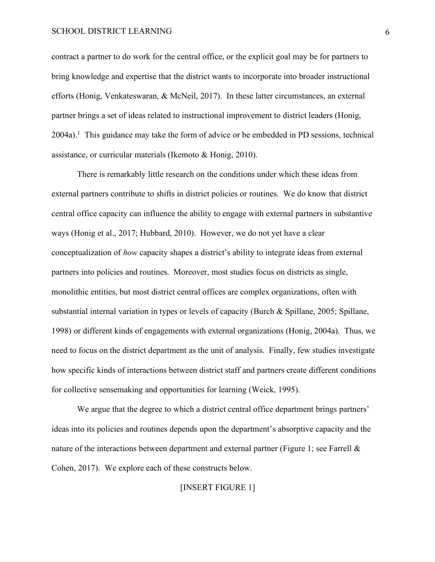contract a partner to do work for the central office, or the explicit goal may be for partners to bring knowledge and expertise that the district wants to incorporate into broader instructional efforts (Honig, Venkateswaran, & McNeil, 2017). In these latter circumstances, an external partner brings a set of ideas related to instructional improvement to district leaders (Honig, 2004a). <sup>1</sup> This guidance may take the form of advice or be embedded in PD sessions, technical assistance, or curricular materials (Ikemoto & Honig, 2010).

There is remarkably little research on the conditions under which these ideas from external partners contribute to shifts in district policies or routines. We do know that district central office capacity can influence the ability to engage with external partners in substantive ways (Honig et al., 2017; Hubbard, 2010). However, we do not yet have a clear conceptualization of *how* capacity shapes a district's ability to integrate ideas from external partners into policies and routines. Moreover, most studies focus on districts as single, monolithic entities, but most district central offices are complex organizations, often with substantial internal variation in types or levels of capacity (Burch & Spillane, 2005; Spillane, 1998) or different kinds of engagements with external organizations (Honig, 2004a). Thus, we need to focus on the district department as the unit of analysis. Finally, few studies investigate how specific kinds of interactions between district staff and partners create different conditions for collective sensemaking and opportunities for learning (Weick, 1995).

We argue that the degree to which a district central office department brings partners' ideas into its policies and routines depends upon the department's absorptive capacity and the nature of the interactions between department and external partner (Figure 1; see Farrell & Cohen, 2017). We explore each of these constructs below.

### [INSERT FIGURE 1]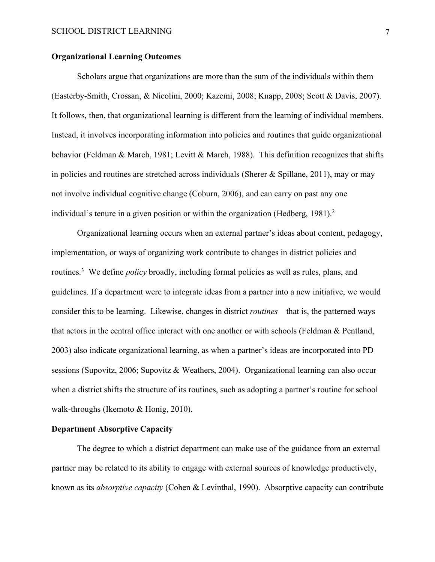#### **Organizational Learning Outcomes**

Scholars argue that organizations are more than the sum of the individuals within them (Easterby-Smith, Crossan, & Nicolini, 2000; Kazemi, 2008; Knapp, 2008; Scott & Davis, 2007). It follows, then, that organizational learning is different from the learning of individual members. Instead, it involves incorporating information into policies and routines that guide organizational behavior (Feldman & March, 1981; Levitt & March, 1988). This definition recognizes that shifts in policies and routines are stretched across individuals (Sherer & Spillane, 2011), may or may not involve individual cognitive change (Coburn, 2006), and can carry on past any one individual's tenure in a given position or within the organization (Hedberg, 1981). 2

Organizational learning occurs when an external partner's ideas about content, pedagogy, implementation, or ways of organizing work contribute to changes in district policies and routines.3 We define *policy* broadly, including formal policies as well as rules, plans, and guidelines. If a department were to integrate ideas from a partner into a new initiative, we would consider this to be learning. Likewise, changes in district *routines*—that is, the patterned ways that actors in the central office interact with one another or with schools (Feldman & Pentland, 2003) also indicate organizational learning, as when a partner's ideas are incorporated into PD sessions (Supovitz, 2006; Supovitz & Weathers, 2004). Organizational learning can also occur when a district shifts the structure of its routines, such as adopting a partner's routine for school walk-throughs (Ikemoto & Honig, 2010).

#### **Department Absorptive Capacity**

The degree to which a district department can make use of the guidance from an external partner may be related to its ability to engage with external sources of knowledge productively, known as its *absorptive capacity* (Cohen & Levinthal, 1990). Absorptive capacity can contribute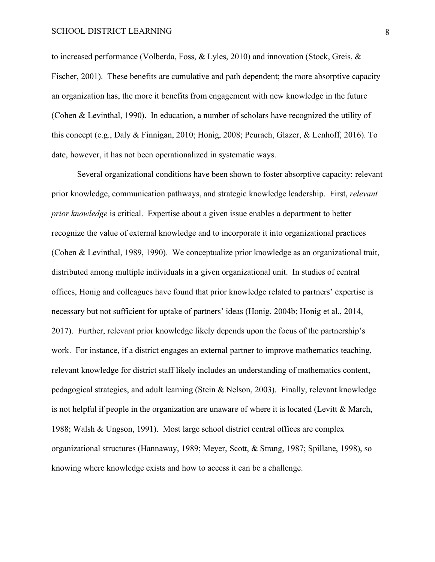to increased performance (Volberda, Foss, & Lyles, 2010) and innovation (Stock, Greis, & Fischer, 2001). These benefits are cumulative and path dependent; the more absorptive capacity an organization has, the more it benefits from engagement with new knowledge in the future (Cohen & Levinthal, 1990). In education, a number of scholars have recognized the utility of this concept (e.g., Daly & Finnigan, 2010; Honig, 2008; Peurach, Glazer, & Lenhoff, 2016). To date, however, it has not been operationalized in systematic ways.

Several organizational conditions have been shown to foster absorptive capacity: relevant prior knowledge, communication pathways, and strategic knowledge leadership. First, *relevant prior knowledge* is critical. Expertise about a given issue enables a department to better recognize the value of external knowledge and to incorporate it into organizational practices (Cohen & Levinthal, 1989, 1990). We conceptualize prior knowledge as an organizational trait, distributed among multiple individuals in a given organizational unit. In studies of central offices, Honig and colleagues have found that prior knowledge related to partners' expertise is necessary but not sufficient for uptake of partners' ideas (Honig, 2004b; Honig et al., 2014, 2017). Further, relevant prior knowledge likely depends upon the focus of the partnership's work. For instance, if a district engages an external partner to improve mathematics teaching, relevant knowledge for district staff likely includes an understanding of mathematics content, pedagogical strategies, and adult learning (Stein & Nelson, 2003). Finally, relevant knowledge is not helpful if people in the organization are unaware of where it is located (Levitt & March, 1988; Walsh & Ungson, 1991). Most large school district central offices are complex organizational structures (Hannaway, 1989; Meyer, Scott, & Strang, 1987; Spillane, 1998), so knowing where knowledge exists and how to access it can be a challenge.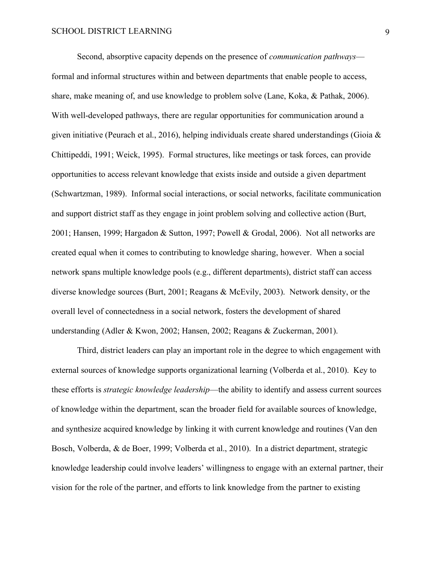Second, absorptive capacity depends on the presence of *communication pathways* formal and informal structures within and between departments that enable people to access, share, make meaning of, and use knowledge to problem solve (Lane, Koka, & Pathak, 2006). With well-developed pathways, there are regular opportunities for communication around a given initiative (Peurach et al., 2016), helping individuals create shared understandings (Gioia & Chittipeddi, 1991; Weick, 1995). Formal structures, like meetings or task forces, can provide opportunities to access relevant knowledge that exists inside and outside a given department (Schwartzman, 1989). Informal social interactions, or social networks, facilitate communication and support district staff as they engage in joint problem solving and collective action (Burt, 2001; Hansen, 1999; Hargadon & Sutton, 1997; Powell & Grodal, 2006). Not all networks are created equal when it comes to contributing to knowledge sharing, however. When a social network spans multiple knowledge pools (e.g., different departments), district staff can access diverse knowledge sources (Burt, 2001; Reagans & McEvily, 2003). Network density, or the overall level of connectedness in a social network, fosters the development of shared understanding (Adler & Kwon, 2002; Hansen, 2002; Reagans & Zuckerman, 2001).

Third, district leaders can play an important role in the degree to which engagement with external sources of knowledge supports organizational learning (Volberda et al., 2010). Key to these efforts is *strategic knowledge leadership*—the ability to identify and assess current sources of knowledge within the department, scan the broader field for available sources of knowledge, and synthesize acquired knowledge by linking it with current knowledge and routines (Van den Bosch, Volberda, & de Boer, 1999; Volberda et al., 2010). In a district department, strategic knowledge leadership could involve leaders' willingness to engage with an external partner, their vision for the role of the partner, and efforts to link knowledge from the partner to existing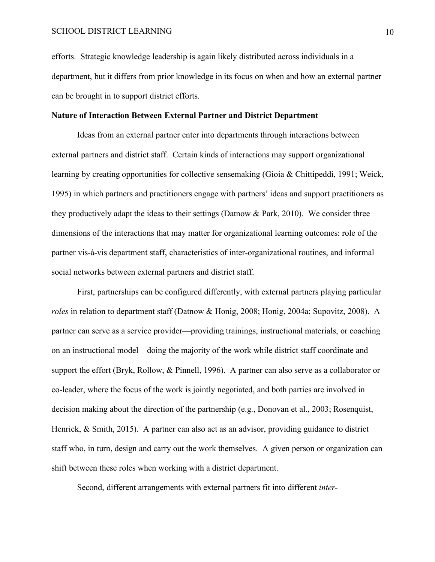efforts. Strategic knowledge leadership is again likely distributed across individuals in a department, but it differs from prior knowledge in its focus on when and how an external partner can be brought in to support district efforts.

#### **Nature of Interaction Between External Partner and District Department**

Ideas from an external partner enter into departments through interactions between external partners and district staff. Certain kinds of interactions may support organizational learning by creating opportunities for collective sensemaking (Gioia & Chittipeddi, 1991; Weick, 1995) in which partners and practitioners engage with partners' ideas and support practitioners as they productively adapt the ideas to their settings (Datnow & Park, 2010). We consider three dimensions of the interactions that may matter for organizational learning outcomes: role of the partner vis-à-vis department staff, characteristics of inter-organizational routines, and informal social networks between external partners and district staff.

First, partnerships can be configured differently, with external partners playing particular *roles* in relation to department staff (Datnow & Honig, 2008; Honig, 2004a; Supovitz, 2008). A partner can serve as a service provider—providing trainings, instructional materials, or coaching on an instructional model—doing the majority of the work while district staff coordinate and support the effort (Bryk, Rollow, & Pinnell, 1996). A partner can also serve as a collaborator or co-leader, where the focus of the work is jointly negotiated, and both parties are involved in decision making about the direction of the partnership (e.g., Donovan et al., 2003; Rosenquist, Henrick, & Smith, 2015). A partner can also act as an advisor, providing guidance to district staff who, in turn, design and carry out the work themselves. A given person or organization can shift between these roles when working with a district department.

Second, different arrangements with external partners fit into different *inter-*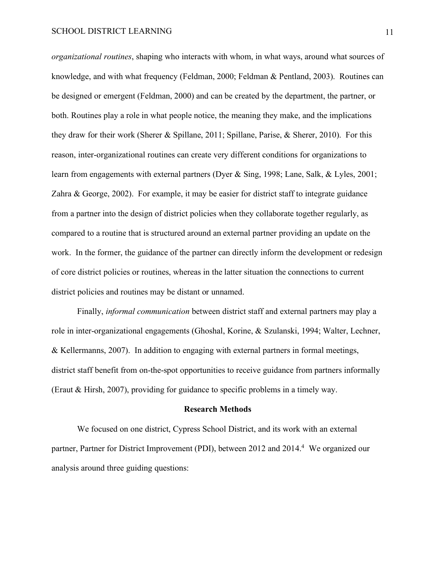*organizational routines*, shaping who interacts with whom, in what ways, around what sources of knowledge, and with what frequency (Feldman, 2000; Feldman & Pentland, 2003). Routines can be designed or emergent (Feldman, 2000) and can be created by the department, the partner, or both. Routines play a role in what people notice, the meaning they make, and the implications they draw for their work (Sherer & Spillane, 2011; Spillane, Parise, & Sherer, 2010). For this reason, inter-organizational routines can create very different conditions for organizations to learn from engagements with external partners (Dyer & Sing, 1998; Lane, Salk, & Lyles, 2001; Zahra & George, 2002). For example, it may be easier for district staff to integrate guidance from a partner into the design of district policies when they collaborate together regularly, as compared to a routine that is structured around an external partner providing an update on the work. In the former, the guidance of the partner can directly inform the development or redesign of core district policies or routines, whereas in the latter situation the connections to current district policies and routines may be distant or unnamed.

Finally, *informal communication* between district staff and external partners may play a role in inter-organizational engagements (Ghoshal, Korine, & Szulanski, 1994; Walter, Lechner, & Kellermanns, 2007). In addition to engaging with external partners in formal meetings, district staff benefit from on-the-spot opportunities to receive guidance from partners informally (Eraut & Hirsh, 2007), providing for guidance to specific problems in a timely way.

#### **Research Methods**

We focused on one district, Cypress School District, and its work with an external partner, Partner for District Improvement (PDI), between 2012 and 2014. <sup>4</sup> We organized our analysis around three guiding questions: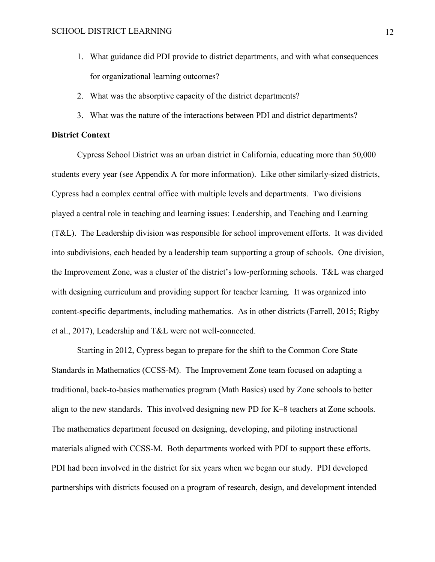- 1. What guidance did PDI provide to district departments, and with what consequences for organizational learning outcomes?
- 2. What was the absorptive capacity of the district departments?
- 3. What was the nature of the interactions between PDI and district departments?

#### **District Context**

Cypress School District was an urban district in California, educating more than 50,000 students every year (see Appendix A for more information). Like other similarly-sized districts, Cypress had a complex central office with multiple levels and departments. Two divisions played a central role in teaching and learning issues: Leadership, and Teaching and Learning (T&L). The Leadership division was responsible for school improvement efforts. It was divided into subdivisions, each headed by a leadership team supporting a group of schools. One division, the Improvement Zone, was a cluster of the district's low-performing schools. T&L was charged with designing curriculum and providing support for teacher learning. It was organized into content-specific departments, including mathematics. As in other districts (Farrell, 2015; Rigby et al., 2017), Leadership and T&L were not well-connected.

Starting in 2012, Cypress began to prepare for the shift to the Common Core State Standards in Mathematics (CCSS-M). The Improvement Zone team focused on adapting a traditional, back-to-basics mathematics program (Math Basics) used by Zone schools to better align to the new standards. This involved designing new PD for K–8 teachers at Zone schools. The mathematics department focused on designing, developing, and piloting instructional materials aligned with CCSS-M. Both departments worked with PDI to support these efforts. PDI had been involved in the district for six years when we began our study. PDI developed partnerships with districts focused on a program of research, design, and development intended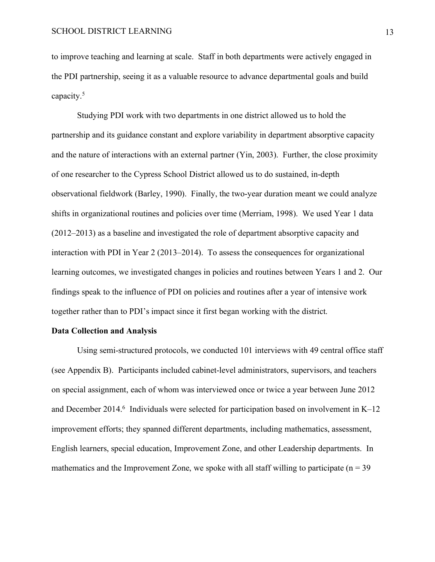to improve teaching and learning at scale. Staff in both departments were actively engaged in the PDI partnership, seeing it as a valuable resource to advance departmental goals and build capacity. 5

Studying PDI work with two departments in one district allowed us to hold the partnership and its guidance constant and explore variability in department absorptive capacity and the nature of interactions with an external partner (Yin, 2003). Further, the close proximity of one researcher to the Cypress School District allowed us to do sustained, in-depth observational fieldwork (Barley, 1990). Finally, the two-year duration meant we could analyze shifts in organizational routines and policies over time (Merriam, 1998). We used Year 1 data (2012–2013) as a baseline and investigated the role of department absorptive capacity and interaction with PDI in Year 2 (2013–2014). To assess the consequences for organizational learning outcomes, we investigated changes in policies and routines between Years 1 and 2. Our findings speak to the influence of PDI on policies and routines after a year of intensive work together rather than to PDI's impact since it first began working with the district.

#### **Data Collection and Analysis**

Using semi-structured protocols, we conducted 101 interviews with 49 central office staff (see Appendix B). Participants included cabinet-level administrators, supervisors, and teachers on special assignment, each of whom was interviewed once or twice a year between June 2012 and December 2014.<sup>6</sup> Individuals were selected for participation based on involvement in K–12 improvement efforts; they spanned different departments, including mathematics, assessment, English learners, special education, Improvement Zone, and other Leadership departments. In mathematics and the Improvement Zone, we spoke with all staff willing to participate ( $n = 39$ )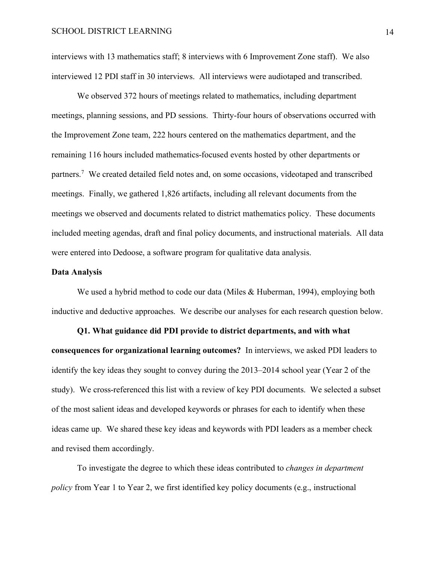interviews with 13 mathematics staff; 8 interviews with 6 Improvement Zone staff). We also interviewed 12 PDI staff in 30 interviews. All interviews were audiotaped and transcribed.

We observed 372 hours of meetings related to mathematics, including department meetings, planning sessions, and PD sessions. Thirty-four hours of observations occurred with the Improvement Zone team, 222 hours centered on the mathematics department, and the remaining 116 hours included mathematics-focused events hosted by other departments or partners.<sup>7</sup> We created detailed field notes and, on some occasions, videotaped and transcribed meetings. Finally, we gathered 1,826 artifacts, including all relevant documents from the meetings we observed and documents related to district mathematics policy. These documents included meeting agendas, draft and final policy documents, and instructional materials. All data were entered into Dedoose, a software program for qualitative data analysis.

#### **Data Analysis**

We used a hybrid method to code our data (Miles & Huberman, 1994), employing both inductive and deductive approaches. We describe our analyses for each research question below.

**Q1. What guidance did PDI provide to district departments, and with what consequences for organizational learning outcomes?** In interviews, we asked PDI leaders to identify the key ideas they sought to convey during the 2013–2014 school year (Year 2 of the study). We cross-referenced this list with a review of key PDI documents. We selected a subset of the most salient ideas and developed keywords or phrases for each to identify when these ideas came up. We shared these key ideas and keywords with PDI leaders as a member check and revised them accordingly.

To investigate the degree to which these ideas contributed to *changes in department policy* from Year 1 to Year 2, we first identified key policy documents (e.g., instructional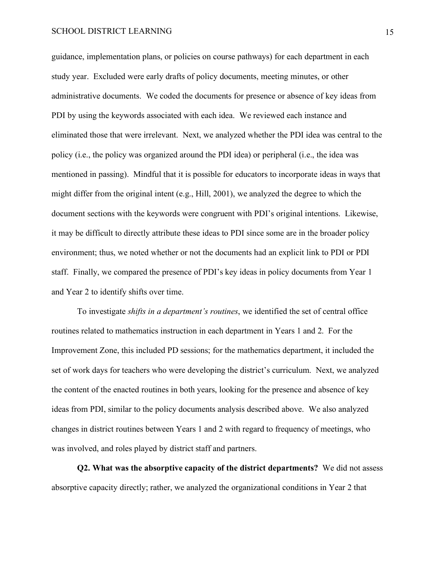guidance, implementation plans, or policies on course pathways) for each department in each study year. Excluded were early drafts of policy documents, meeting minutes, or other administrative documents. We coded the documents for presence or absence of key ideas from PDI by using the keywords associated with each idea. We reviewed each instance and eliminated those that were irrelevant. Next, we analyzed whether the PDI idea was central to the policy (i.e., the policy was organized around the PDI idea) or peripheral (i.e., the idea was mentioned in passing). Mindful that it is possible for educators to incorporate ideas in ways that might differ from the original intent (e.g., Hill, 2001), we analyzed the degree to which the document sections with the keywords were congruent with PDI's original intentions. Likewise, it may be difficult to directly attribute these ideas to PDI since some are in the broader policy environment; thus, we noted whether or not the documents had an explicit link to PDI or PDI staff. Finally, we compared the presence of PDI's key ideas in policy documents from Year 1 and Year 2 to identify shifts over time.

To investigate *shifts in a department's routines*, we identified the set of central office routines related to mathematics instruction in each department in Years 1 and 2. For the Improvement Zone, this included PD sessions; for the mathematics department, it included the set of work days for teachers who were developing the district's curriculum. Next, we analyzed the content of the enacted routines in both years, looking for the presence and absence of key ideas from PDI, similar to the policy documents analysis described above. We also analyzed changes in district routines between Years 1 and 2 with regard to frequency of meetings, who was involved, and roles played by district staff and partners.

**Q2. What was the absorptive capacity of the district departments?** We did not assess absorptive capacity directly; rather, we analyzed the organizational conditions in Year 2 that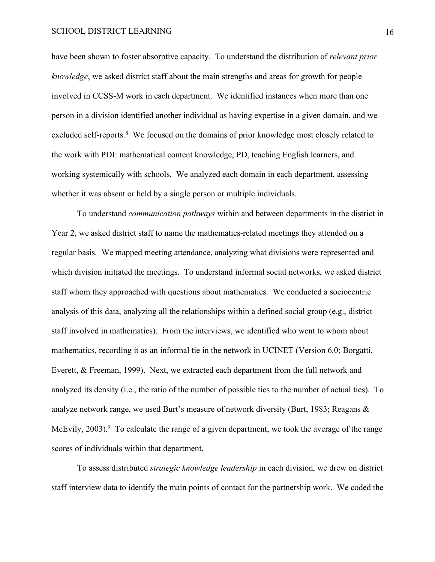have been shown to foster absorptive capacity. To understand the distribution of *relevant prior knowledge*, we asked district staff about the main strengths and areas for growth for people involved in CCSS-M work in each department. We identified instances when more than one person in a division identified another individual as having expertise in a given domain, and we excluded self-reports.<sup>8</sup> We focused on the domains of prior knowledge most closely related to the work with PDI: mathematical content knowledge, PD, teaching English learners, and working systemically with schools. We analyzed each domain in each department, assessing whether it was absent or held by a single person or multiple individuals.

To understand *communication pathways* within and between departments in the district in Year 2, we asked district staff to name the mathematics-related meetings they attended on a regular basis. We mapped meeting attendance, analyzing what divisions were represented and which division initiated the meetings. To understand informal social networks, we asked district staff whom they approached with questions about mathematics. We conducted a sociocentric analysis of this data, analyzing all the relationships within a defined social group (e.g., district staff involved in mathematics). From the interviews, we identified who went to whom about mathematics, recording it as an informal tie in the network in UCINET (Version 6.0; Borgatti, Everett, & Freeman, 1999). Next, we extracted each department from the full network and analyzed its density (i.e., the ratio of the number of possible ties to the number of actual ties). To analyze network range, we used Burt's measure of network diversity (Burt, 1983; Reagans & McEvily,  $2003$ .<sup>9</sup> To calculate the range of a given department, we took the average of the range scores of individuals within that department.

To assess distributed *strategic knowledge leadership* in each division, we drew on district staff interview data to identify the main points of contact for the partnership work. We coded the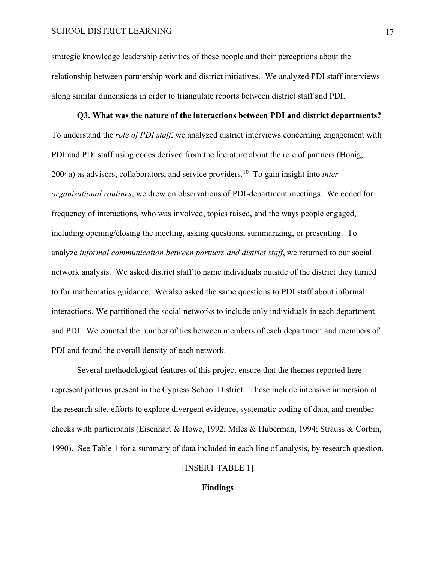strategic knowledge leadership activities of these people and their perceptions about the relationship between partnership work and district initiatives. We analyzed PDI staff interviews along similar dimensions in order to triangulate reports between district staff and PDI.

**Q3. What was the nature of the interactions between PDI and district departments?** To understand the *role of PDI staff*, we analyzed district interviews concerning engagement with PDI and PDI staff using codes derived from the literature about the role of partners (Honig, 2004a) as advisors, collaborators, and service providers. <sup>10</sup> To gain insight into *interorganizational routines*, we drew on observations of PDI-department meetings. We coded for frequency of interactions, who was involved, topics raised, and the ways people engaged, including opening/closing the meeting, asking questions, summarizing, or presenting. To analyze *informal communication between partners and district staff*, we returned to our social network analysis. We asked district staff to name individuals outside of the district they turned to for mathematics guidance. We also asked the same questions to PDI staff about informal interactions. We partitioned the social networks to include only individuals in each department and PDI. We counted the number of ties between members of each department and members of PDI and found the overall density of each network.

Several methodological features of this project ensure that the themes reported here represent patterns present in the Cypress School District. These include intensive immersion at the research site, efforts to explore divergent evidence, systematic coding of data, and member checks with participants (Eisenhart & Howe, 1992; Miles & Huberman, 1994; Strauss & Corbin, 1990). See Table 1 for a summary of data included in each line of analysis, by research question.

### [INSERT TABLE 1]

#### **Findings**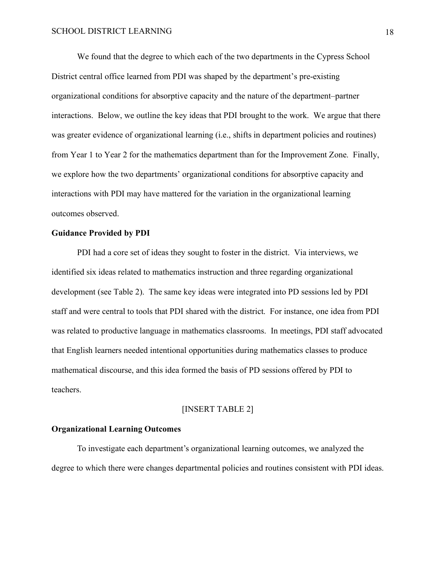We found that the degree to which each of the two departments in the Cypress School District central office learned from PDI was shaped by the department's pre-existing organizational conditions for absorptive capacity and the nature of the department–partner interactions. Below, we outline the key ideas that PDI brought to the work. We argue that there was greater evidence of organizational learning (i.e., shifts in department policies and routines) from Year 1 to Year 2 for the mathematics department than for the Improvement Zone. Finally, we explore how the two departments' organizational conditions for absorptive capacity and interactions with PDI may have mattered for the variation in the organizational learning outcomes observed.

#### **Guidance Provided by PDI**

PDI had a core set of ideas they sought to foster in the district. Via interviews, we identified six ideas related to mathematics instruction and three regarding organizational development (see Table 2). The same key ideas were integrated into PD sessions led by PDI staff and were central to tools that PDI shared with the district. For instance, one idea from PDI was related to productive language in mathematics classrooms. In meetings, PDI staff advocated that English learners needed intentional opportunities during mathematics classes to produce mathematical discourse, and this idea formed the basis of PD sessions offered by PDI to teachers.

#### [INSERT TABLE 2]

#### **Organizational Learning Outcomes**

To investigate each department's organizational learning outcomes, we analyzed the degree to which there were changes departmental policies and routines consistent with PDI ideas.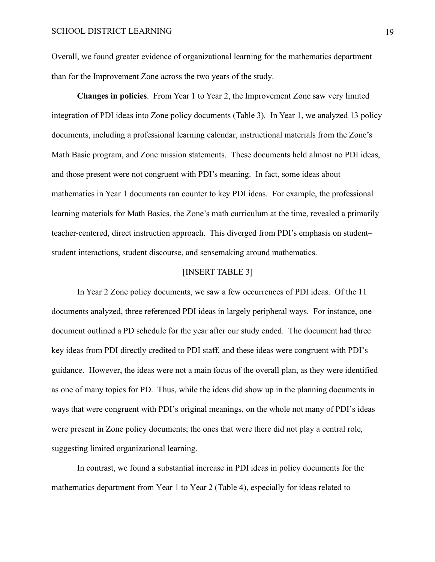Overall, we found greater evidence of organizational learning for the mathematics department than for the Improvement Zone across the two years of the study.

**Changes in policies**. From Year 1 to Year 2, the Improvement Zone saw very limited integration of PDI ideas into Zone policy documents (Table 3). In Year 1, we analyzed 13 policy documents, including a professional learning calendar, instructional materials from the Zone's Math Basic program, and Zone mission statements. These documents held almost no PDI ideas, and those present were not congruent with PDI's meaning. In fact, some ideas about mathematics in Year 1 documents ran counter to key PDI ideas. For example, the professional learning materials for Math Basics, the Zone's math curriculum at the time, revealed a primarily teacher-centered, direct instruction approach. This diverged from PDI's emphasis on student– student interactions, student discourse, and sensemaking around mathematics.

#### [INSERT TABLE 3]

In Year 2 Zone policy documents, we saw a few occurrences of PDI ideas. Of the 11 documents analyzed, three referenced PDI ideas in largely peripheral ways. For instance, one document outlined a PD schedule for the year after our study ended. The document had three key ideas from PDI directly credited to PDI staff, and these ideas were congruent with PDI's guidance. However, the ideas were not a main focus of the overall plan, as they were identified as one of many topics for PD. Thus, while the ideas did show up in the planning documents in ways that were congruent with PDI's original meanings, on the whole not many of PDI's ideas were present in Zone policy documents; the ones that were there did not play a central role, suggesting limited organizational learning.

In contrast, we found a substantial increase in PDI ideas in policy documents for the mathematics department from Year 1 to Year 2 (Table 4), especially for ideas related to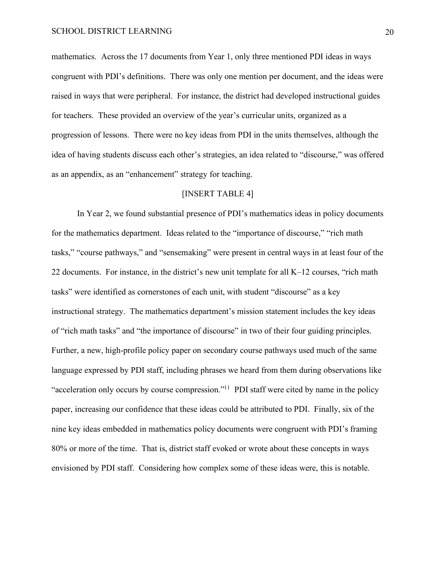mathematics. Across the 17 documents from Year 1, only three mentioned PDI ideas in ways congruent with PDI's definitions. There was only one mention per document, and the ideas were raised in ways that were peripheral. For instance, the district had developed instructional guides for teachers. These provided an overview of the year's curricular units, organized as a progression of lessons. There were no key ideas from PDI in the units themselves, although the idea of having students discuss each other's strategies, an idea related to "discourse," was offered as an appendix, as an "enhancement" strategy for teaching.

#### [INSERT TABLE 4]

In Year 2, we found substantial presence of PDI's mathematics ideas in policy documents for the mathematics department. Ideas related to the "importance of discourse," "rich math tasks," "course pathways," and "sensemaking" were present in central ways in at least four of the 22 documents. For instance, in the district's new unit template for all K–12 courses, "rich math tasks" were identified as cornerstones of each unit, with student "discourse" as a key instructional strategy. The mathematics department's mission statement includes the key ideas of "rich math tasks" and "the importance of discourse" in two of their four guiding principles. Further, a new, high-profile policy paper on secondary course pathways used much of the same language expressed by PDI staff, including phrases we heard from them during observations like "acceleration only occurs by course compression."<sup>11</sup> PDI staff were cited by name in the policy paper, increasing our confidence that these ideas could be attributed to PDI. Finally, six of the nine key ideas embedded in mathematics policy documents were congruent with PDI's framing 80% or more of the time. That is, district staff evoked or wrote about these concepts in ways envisioned by PDI staff. Considering how complex some of these ideas were, this is notable.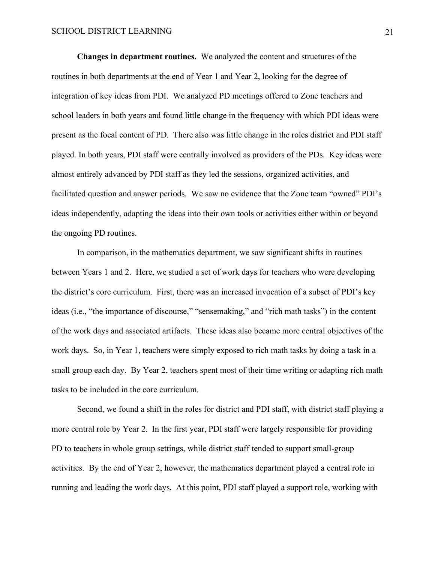**Changes in department routines.** We analyzed the content and structures of the routines in both departments at the end of Year 1 and Year 2, looking for the degree of integration of key ideas from PDI. We analyzed PD meetings offered to Zone teachers and school leaders in both years and found little change in the frequency with which PDI ideas were present as the focal content of PD. There also was little change in the roles district and PDI staff played. In both years, PDI staff were centrally involved as providers of the PDs. Key ideas were almost entirely advanced by PDI staff as they led the sessions, organized activities, and facilitated question and answer periods. We saw no evidence that the Zone team "owned" PDI's ideas independently, adapting the ideas into their own tools or activities either within or beyond the ongoing PD routines.

In comparison, in the mathematics department, we saw significant shifts in routines between Years 1 and 2. Here, we studied a set of work days for teachers who were developing the district's core curriculum. First, there was an increased invocation of a subset of PDI's key ideas (i.e., "the importance of discourse," "sensemaking," and "rich math tasks") in the content of the work days and associated artifacts. These ideas also became more central objectives of the work days. So, in Year 1, teachers were simply exposed to rich math tasks by doing a task in a small group each day. By Year 2, teachers spent most of their time writing or adapting rich math tasks to be included in the core curriculum.

Second, we found a shift in the roles for district and PDI staff, with district staff playing a more central role by Year 2. In the first year, PDI staff were largely responsible for providing PD to teachers in whole group settings, while district staff tended to support small-group activities. By the end of Year 2, however, the mathematics department played a central role in running and leading the work days. At this point, PDI staff played a support role, working with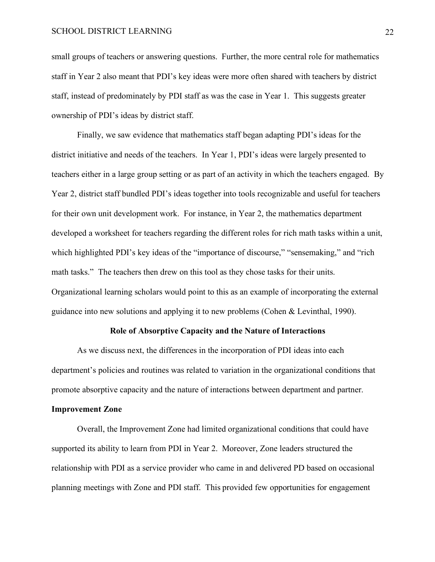small groups of teachers or answering questions. Further, the more central role for mathematics staff in Year 2 also meant that PDI's key ideas were more often shared with teachers by district staff, instead of predominately by PDI staff as was the case in Year 1. This suggests greater ownership of PDI's ideas by district staff.

Finally, we saw evidence that mathematics staff began adapting PDI's ideas for the district initiative and needs of the teachers. In Year 1, PDI's ideas were largely presented to teachers either in a large group setting or as part of an activity in which the teachers engaged. By Year 2, district staff bundled PDI's ideas together into tools recognizable and useful for teachers for their own unit development work. For instance, in Year 2, the mathematics department developed a worksheet for teachers regarding the different roles for rich math tasks within a unit, which highlighted PDI's key ideas of the "importance of discourse," "sensemaking," and "rich math tasks." The teachers then drew on this tool as they chose tasks for their units. Organizational learning scholars would point to this as an example of incorporating the external guidance into new solutions and applying it to new problems (Cohen & Levinthal, 1990).

#### **Role of Absorptive Capacity and the Nature of Interactions**

As we discuss next, the differences in the incorporation of PDI ideas into each department's policies and routines was related to variation in the organizational conditions that promote absorptive capacity and the nature of interactions between department and partner.

#### **Improvement Zone**

Overall, the Improvement Zone had limited organizational conditions that could have supported its ability to learn from PDI in Year 2. Moreover, Zone leaders structured the relationship with PDI as a service provider who came in and delivered PD based on occasional planning meetings with Zone and PDI staff. This provided few opportunities for engagement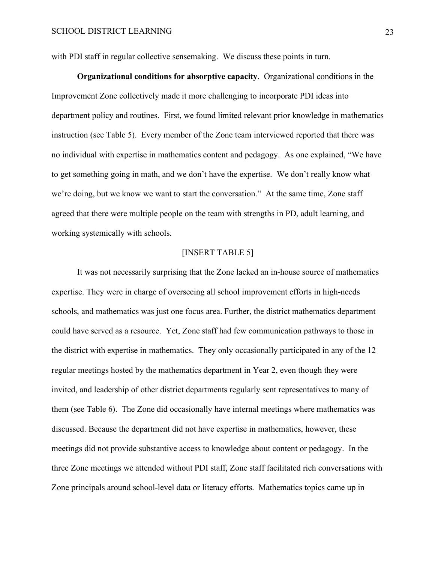with PDI staff in regular collective sensemaking. We discuss these points in turn.

**Organizational conditions for absorptive capacity**. Organizational conditions in the Improvement Zone collectively made it more challenging to incorporate PDI ideas into department policy and routines. First, we found limited relevant prior knowledge in mathematics instruction (see Table 5). Every member of the Zone team interviewed reported that there was no individual with expertise in mathematics content and pedagogy. As one explained, "We have to get something going in math, and we don't have the expertise. We don't really know what we're doing, but we know we want to start the conversation." At the same time, Zone staff agreed that there were multiple people on the team with strengths in PD, adult learning, and working systemically with schools.

#### [INSERT TABLE 5]

It was not necessarily surprising that the Zone lacked an in-house source of mathematics expertise. They were in charge of overseeing all school improvement efforts in high-needs schools, and mathematics was just one focus area. Further, the district mathematics department could have served as a resource. Yet, Zone staff had few communication pathways to those in the district with expertise in mathematics. They only occasionally participated in any of the 12 regular meetings hosted by the mathematics department in Year 2, even though they were invited, and leadership of other district departments regularly sent representatives to many of them (see Table 6). The Zone did occasionally have internal meetings where mathematics was discussed. Because the department did not have expertise in mathematics, however, these meetings did not provide substantive access to knowledge about content or pedagogy. In the three Zone meetings we attended without PDI staff, Zone staff facilitated rich conversations with Zone principals around school-level data or literacy efforts. Mathematics topics came up in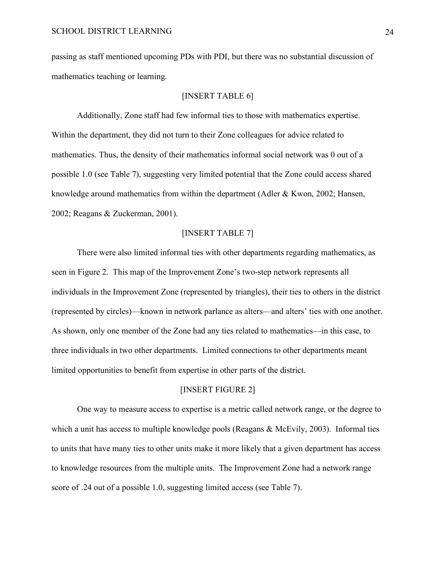passing as staff mentioned upcoming PDs with PDI, but there was no substantial discussion of mathematics teaching or learning.

#### [INSERT TABLE 6]

Additionally, Zone staff had few informal ties to those with mathematics expertise. Within the department, they did not turn to their Zone colleagues for advice related to mathematics. Thus, the density of their mathematics informal social network was 0 out of a possible 1.0 (see Table 7), suggesting very limited potential that the Zone could access shared knowledge around mathematics from within the department (Adler & Kwon, 2002; Hansen, 2002; Reagans & Zuckerman, 2001).

#### [INSERT TABLE 7]

There were also limited informal ties with other departments regarding mathematics, as seen in Figure 2. This map of the Improvement Zone's two-step network represents all individuals in the Improvement Zone (represented by triangles), their ties to others in the district (represented by circles)—known in network parlance as alters—and alters' ties with one another. As shown, only one member of the Zone had any ties related to mathematics—in this case, to three individuals in two other departments. Limited connections to other departments meant limited opportunities to benefit from expertise in other parts of the district.

#### [INSERT FIGURE 2]

One way to measure access to expertise is a metric called network range, or the degree to which a unit has access to multiple knowledge pools (Reagans & McEvily, 2003). Informal ties to units that have many ties to other units make it more likely that a given department has access to knowledge resources from the multiple units. The Improvement Zone had a network range score of .24 out of a possible 1.0, suggesting limited access (see Table 7).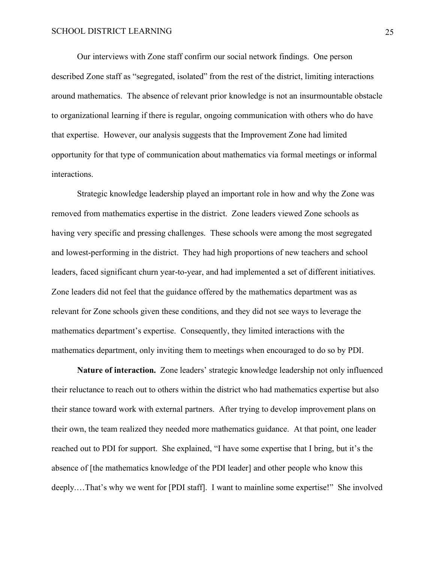Our interviews with Zone staff confirm our social network findings. One person described Zone staff as "segregated, isolated" from the rest of the district, limiting interactions around mathematics. The absence of relevant prior knowledge is not an insurmountable obstacle to organizational learning if there is regular, ongoing communication with others who do have that expertise. However, our analysis suggests that the Improvement Zone had limited opportunity for that type of communication about mathematics via formal meetings or informal interactions.

Strategic knowledge leadership played an important role in how and why the Zone was removed from mathematics expertise in the district. Zone leaders viewed Zone schools as having very specific and pressing challenges. These schools were among the most segregated and lowest-performing in the district. They had high proportions of new teachers and school leaders, faced significant churn year-to-year, and had implemented a set of different initiatives. Zone leaders did not feel that the guidance offered by the mathematics department was as relevant for Zone schools given these conditions, and they did not see ways to leverage the mathematics department's expertise. Consequently, they limited interactions with the mathematics department, only inviting them to meetings when encouraged to do so by PDI.

**Nature of interaction.** Zone leaders' strategic knowledge leadership not only influenced their reluctance to reach out to others within the district who had mathematics expertise but also their stance toward work with external partners. After trying to develop improvement plans on their own, the team realized they needed more mathematics guidance. At that point, one leader reached out to PDI for support. She explained, "I have some expertise that I bring, but it's the absence of [the mathematics knowledge of the PDI leader] and other people who know this deeply.…That's why we went for [PDI staff]. I want to mainline some expertise!" She involved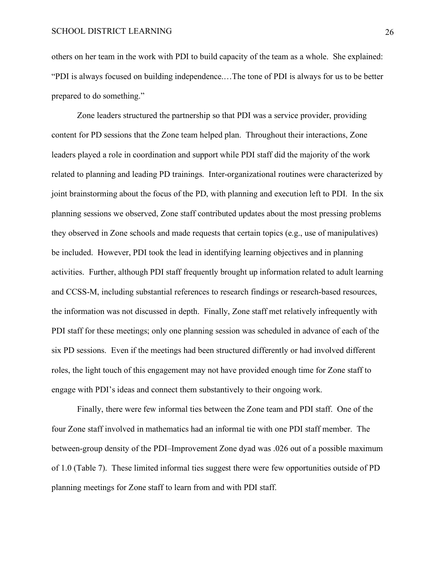others on her team in the work with PDI to build capacity of the team as a whole. She explained: "PDI is always focused on building independence.…The tone of PDI is always for us to be better prepared to do something."

Zone leaders structured the partnership so that PDI was a service provider, providing content for PD sessions that the Zone team helped plan. Throughout their interactions, Zone leaders played a role in coordination and support while PDI staff did the majority of the work related to planning and leading PD trainings. Inter-organizational routines were characterized by joint brainstorming about the focus of the PD, with planning and execution left to PDI. In the six planning sessions we observed, Zone staff contributed updates about the most pressing problems they observed in Zone schools and made requests that certain topics (e.g., use of manipulatives) be included. However, PDI took the lead in identifying learning objectives and in planning activities. Further, although PDI staff frequently brought up information related to adult learning and CCSS-M, including substantial references to research findings or research-based resources, the information was not discussed in depth. Finally, Zone staff met relatively infrequently with PDI staff for these meetings; only one planning session was scheduled in advance of each of the six PD sessions. Even if the meetings had been structured differently or had involved different roles, the light touch of this engagement may not have provided enough time for Zone staff to engage with PDI's ideas and connect them substantively to their ongoing work.

Finally, there were few informal ties between the Zone team and PDI staff. One of the four Zone staff involved in mathematics had an informal tie with one PDI staff member. The between-group density of the PDI–Improvement Zone dyad was .026 out of a possible maximum of 1.0 (Table 7). These limited informal ties suggest there were few opportunities outside of PD planning meetings for Zone staff to learn from and with PDI staff.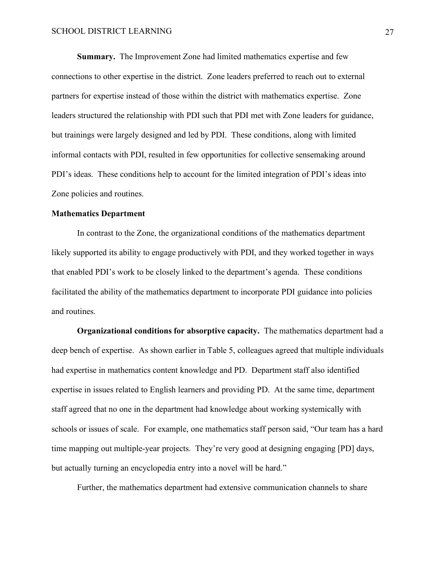**Summary.** The Improvement Zone had limited mathematics expertise and few connections to other expertise in the district. Zone leaders preferred to reach out to external partners for expertise instead of those within the district with mathematics expertise. Zone leaders structured the relationship with PDI such that PDI met with Zone leaders for guidance, but trainings were largely designed and led by PDI. These conditions, along with limited informal contacts with PDI, resulted in few opportunities for collective sensemaking around PDI's ideas. These conditions help to account for the limited integration of PDI's ideas into Zone policies and routines.

#### **Mathematics Department**

In contrast to the Zone, the organizational conditions of the mathematics department likely supported its ability to engage productively with PDI, and they worked together in ways that enabled PDI's work to be closely linked to the department's agenda. These conditions facilitated the ability of the mathematics department to incorporate PDI guidance into policies and routines.

**Organizational conditions for absorptive capacity.** The mathematics department had a deep bench of expertise. As shown earlier in Table 5, colleagues agreed that multiple individuals had expertise in mathematics content knowledge and PD. Department staff also identified expertise in issues related to English learners and providing PD. At the same time, department staff agreed that no one in the department had knowledge about working systemically with schools or issues of scale. For example, one mathematics staff person said, "Our team has a hard time mapping out multiple-year projects. They're very good at designing engaging [PD] days, but actually turning an encyclopedia entry into a novel will be hard."

Further, the mathematics department had extensive communication channels to share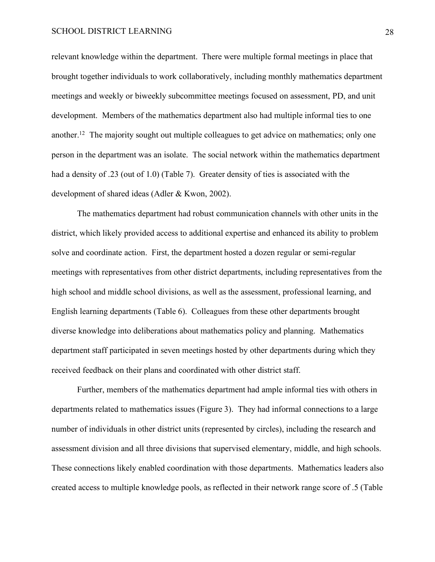relevant knowledge within the department. There were multiple formal meetings in place that brought together individuals to work collaboratively, including monthly mathematics department meetings and weekly or biweekly subcommittee meetings focused on assessment, PD, and unit development. Members of the mathematics department also had multiple informal ties to one another.<sup>12</sup> The majority sought out multiple colleagues to get advice on mathematics; only one person in the department was an isolate. The social network within the mathematics department had a density of .23 (out of 1.0) (Table 7). Greater density of ties is associated with the development of shared ideas (Adler & Kwon, 2002).

The mathematics department had robust communication channels with other units in the district, which likely provided access to additional expertise and enhanced its ability to problem solve and coordinate action. First, the department hosted a dozen regular or semi-regular meetings with representatives from other district departments, including representatives from the high school and middle school divisions, as well as the assessment, professional learning, and English learning departments (Table 6). Colleagues from these other departments brought diverse knowledge into deliberations about mathematics policy and planning. Mathematics department staff participated in seven meetings hosted by other departments during which they received feedback on their plans and coordinated with other district staff.

Further, members of the mathematics department had ample informal ties with others in departments related to mathematics issues (Figure 3). They had informal connections to a large number of individuals in other district units (represented by circles), including the research and assessment division and all three divisions that supervised elementary, middle, and high schools. These connections likely enabled coordination with those departments. Mathematics leaders also created access to multiple knowledge pools, as reflected in their network range score of .5 (Table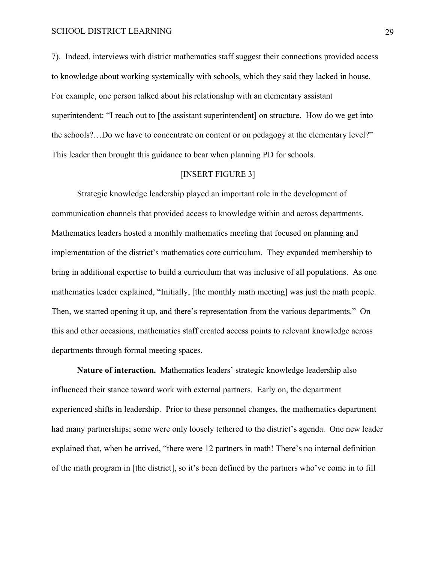7). Indeed, interviews with district mathematics staff suggest their connections provided access to knowledge about working systemically with schools, which they said they lacked in house. For example, one person talked about his relationship with an elementary assistant superintendent: "I reach out to [the assistant superintendent] on structure. How do we get into the schools?…Do we have to concentrate on content or on pedagogy at the elementary level?" This leader then brought this guidance to bear when planning PD for schools.

#### [INSERT FIGURE 3]

Strategic knowledge leadership played an important role in the development of communication channels that provided access to knowledge within and across departments. Mathematics leaders hosted a monthly mathematics meeting that focused on planning and implementation of the district's mathematics core curriculum. They expanded membership to bring in additional expertise to build a curriculum that was inclusive of all populations. As one mathematics leader explained, "Initially, [the monthly math meeting] was just the math people. Then, we started opening it up, and there's representation from the various departments." On this and other occasions, mathematics staff created access points to relevant knowledge across departments through formal meeting spaces.

**Nature of interaction.** Mathematics leaders' strategic knowledge leadership also influenced their stance toward work with external partners. Early on, the department experienced shifts in leadership. Prior to these personnel changes, the mathematics department had many partnerships; some were only loosely tethered to the district's agenda. One new leader explained that, when he arrived, "there were 12 partners in math! There's no internal definition of the math program in [the district], so it's been defined by the partners who've come in to fill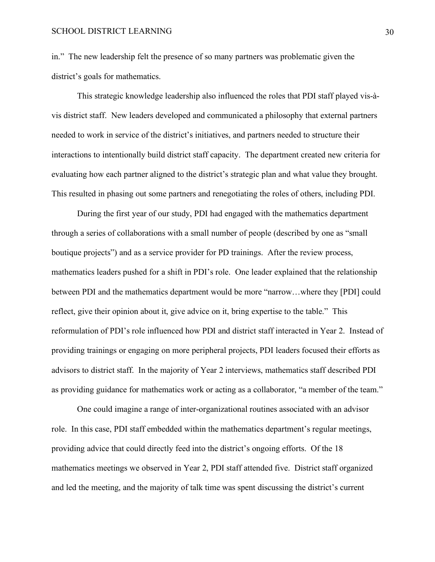in." The new leadership felt the presence of so many partners was problematic given the district's goals for mathematics.

This strategic knowledge leadership also influenced the roles that PDI staff played vis-àvis district staff. New leaders developed and communicated a philosophy that external partners needed to work in service of the district's initiatives, and partners needed to structure their interactions to intentionally build district staff capacity. The department created new criteria for evaluating how each partner aligned to the district's strategic plan and what value they brought. This resulted in phasing out some partners and renegotiating the roles of others, including PDI.

During the first year of our study, PDI had engaged with the mathematics department through a series of collaborations with a small number of people (described by one as "small boutique projects") and as a service provider for PD trainings. After the review process, mathematics leaders pushed for a shift in PDI's role. One leader explained that the relationship between PDI and the mathematics department would be more "narrow…where they [PDI] could reflect, give their opinion about it, give advice on it, bring expertise to the table." This reformulation of PDI's role influenced how PDI and district staff interacted in Year 2. Instead of providing trainings or engaging on more peripheral projects, PDI leaders focused their efforts as advisors to district staff. In the majority of Year 2 interviews, mathematics staff described PDI as providing guidance for mathematics work or acting as a collaborator, "a member of the team."

One could imagine a range of inter-organizational routines associated with an advisor role. In this case, PDI staff embedded within the mathematics department's regular meetings, providing advice that could directly feed into the district's ongoing efforts. Of the 18 mathematics meetings we observed in Year 2, PDI staff attended five. District staff organized and led the meeting, and the majority of talk time was spent discussing the district's current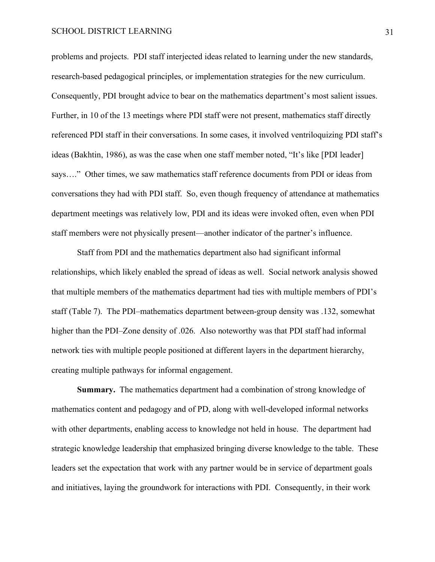problems and projects. PDI staff interjected ideas related to learning under the new standards, research-based pedagogical principles, or implementation strategies for the new curriculum. Consequently, PDI brought advice to bear on the mathematics department's most salient issues. Further, in 10 of the 13 meetings where PDI staff were not present, mathematics staff directly referenced PDI staff in their conversations. In some cases, it involved ventriloquizing PDI staff's ideas (Bakhtin, 1986), as was the case when one staff member noted, "It's like [PDI leader] says…." Other times, we saw mathematics staff reference documents from PDI or ideas from conversations they had with PDI staff. So, even though frequency of attendance at mathematics department meetings was relatively low, PDI and its ideas were invoked often, even when PDI staff members were not physically present—another indicator of the partner's influence.

Staff from PDI and the mathematics department also had significant informal relationships, which likely enabled the spread of ideas as well. Social network analysis showed that multiple members of the mathematics department had ties with multiple members of PDI's staff (Table 7). The PDI–mathematics department between-group density was .132, somewhat higher than the PDI–Zone density of .026. Also noteworthy was that PDI staff had informal network ties with multiple people positioned at different layers in the department hierarchy, creating multiple pathways for informal engagement.

**Summary.** The mathematics department had a combination of strong knowledge of mathematics content and pedagogy and of PD, along with well-developed informal networks with other departments, enabling access to knowledge not held in house. The department had strategic knowledge leadership that emphasized bringing diverse knowledge to the table. These leaders set the expectation that work with any partner would be in service of department goals and initiatives, laying the groundwork for interactions with PDI. Consequently, in their work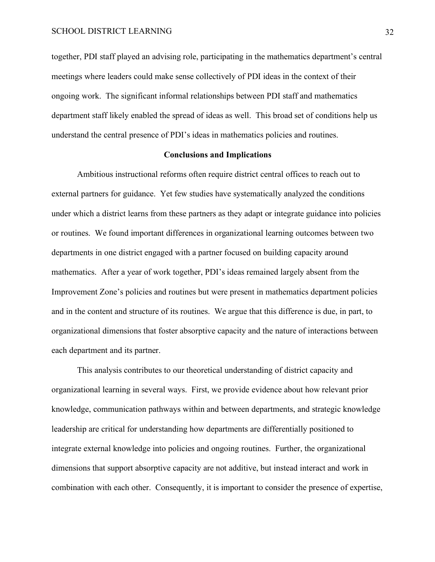together, PDI staff played an advising role, participating in the mathematics department's central meetings where leaders could make sense collectively of PDI ideas in the context of their ongoing work. The significant informal relationships between PDI staff and mathematics department staff likely enabled the spread of ideas as well. This broad set of conditions help us understand the central presence of PDI's ideas in mathematics policies and routines.

#### **Conclusions and Implications**

Ambitious instructional reforms often require district central offices to reach out to external partners for guidance. Yet few studies have systematically analyzed the conditions under which a district learns from these partners as they adapt or integrate guidance into policies or routines. We found important differences in organizational learning outcomes between two departments in one district engaged with a partner focused on building capacity around mathematics. After a year of work together, PDI's ideas remained largely absent from the Improvement Zone's policies and routines but were present in mathematics department policies and in the content and structure of its routines. We argue that this difference is due, in part, to organizational dimensions that foster absorptive capacity and the nature of interactions between each department and its partner.

This analysis contributes to our theoretical understanding of district capacity and organizational learning in several ways. First, we provide evidence about how relevant prior knowledge, communication pathways within and between departments, and strategic knowledge leadership are critical for understanding how departments are differentially positioned to integrate external knowledge into policies and ongoing routines. Further, the organizational dimensions that support absorptive capacity are not additive, but instead interact and work in combination with each other. Consequently, it is important to consider the presence of expertise,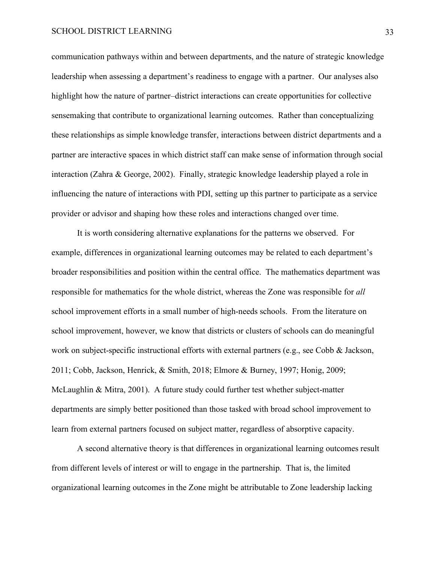communication pathways within and between departments, and the nature of strategic knowledge leadership when assessing a department's readiness to engage with a partner. Our analyses also highlight how the nature of partner–district interactions can create opportunities for collective sensemaking that contribute to organizational learning outcomes. Rather than conceptualizing these relationships as simple knowledge transfer, interactions between district departments and a partner are interactive spaces in which district staff can make sense of information through social interaction (Zahra & George, 2002). Finally, strategic knowledge leadership played a role in influencing the nature of interactions with PDI, setting up this partner to participate as a service provider or advisor and shaping how these roles and interactions changed over time.

It is worth considering alternative explanations for the patterns we observed. For example, differences in organizational learning outcomes may be related to each department's broader responsibilities and position within the central office. The mathematics department was responsible for mathematics for the whole district, whereas the Zone was responsible for *all* school improvement efforts in a small number of high-needs schools. From the literature on school improvement, however, we know that districts or clusters of schools can do meaningful work on subject-specific instructional efforts with external partners (e.g., see Cobb & Jackson, 2011; Cobb, Jackson, Henrick, & Smith, 2018; Elmore & Burney, 1997; Honig, 2009; McLaughlin & Mitra, 2001). A future study could further test whether subject-matter departments are simply better positioned than those tasked with broad school improvement to learn from external partners focused on subject matter, regardless of absorptive capacity.

A second alternative theory is that differences in organizational learning outcomes result from different levels of interest or will to engage in the partnership. That is, the limited organizational learning outcomes in the Zone might be attributable to Zone leadership lacking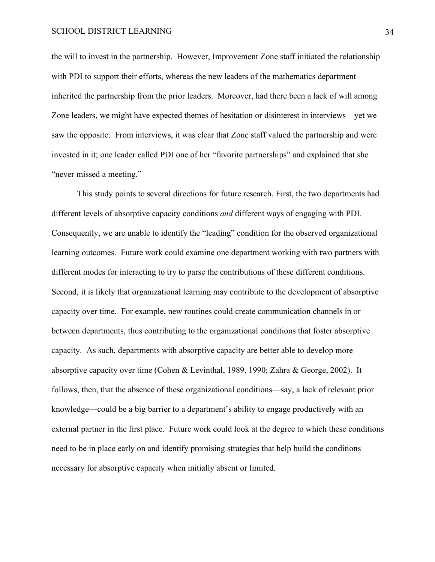the will to invest in the partnership. However, Improvement Zone staff initiated the relationship with PDI to support their efforts, whereas the new leaders of the mathematics department inherited the partnership from the prior leaders. Moreover, had there been a lack of will among Zone leaders, we might have expected themes of hesitation or disinterest in interviews—yet we saw the opposite. From interviews, it was clear that Zone staff valued the partnership and were invested in it; one leader called PDI one of her "favorite partnerships" and explained that she "never missed a meeting."

This study points to several directions for future research. First, the two departments had different levels of absorptive capacity conditions *and* different ways of engaging with PDI. Consequently, we are unable to identify the "leading" condition for the observed organizational learning outcomes. Future work could examine one department working with two partners with different modes for interacting to try to parse the contributions of these different conditions. Second, it is likely that organizational learning may contribute to the development of absorptive capacity over time. For example, new routines could create communication channels in or between departments, thus contributing to the organizational conditions that foster absorptive capacity. As such, departments with absorptive capacity are better able to develop more absorptive capacity over time (Cohen & Levinthal, 1989, 1990; Zahra & George, 2002). It follows, then, that the absence of these organizational conditions—say, a lack of relevant prior knowledge—could be a big barrier to a department's ability to engage productively with an external partner in the first place. Future work could look at the degree to which these conditions need to be in place early on and identify promising strategies that help build the conditions necessary for absorptive capacity when initially absent or limited.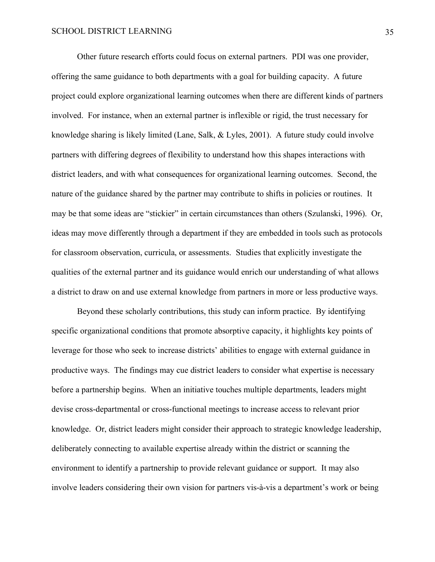Other future research efforts could focus on external partners. PDI was one provider, offering the same guidance to both departments with a goal for building capacity. A future project could explore organizational learning outcomes when there are different kinds of partners involved. For instance, when an external partner is inflexible or rigid, the trust necessary for knowledge sharing is likely limited (Lane, Salk, & Lyles, 2001). A future study could involve partners with differing degrees of flexibility to understand how this shapes interactions with district leaders, and with what consequences for organizational learning outcomes. Second, the nature of the guidance shared by the partner may contribute to shifts in policies or routines. It may be that some ideas are "stickier" in certain circumstances than others (Szulanski, 1996). Or, ideas may move differently through a department if they are embedded in tools such as protocols for classroom observation, curricula, or assessments. Studies that explicitly investigate the qualities of the external partner and its guidance would enrich our understanding of what allows a district to draw on and use external knowledge from partners in more or less productive ways.

Beyond these scholarly contributions, this study can inform practice. By identifying specific organizational conditions that promote absorptive capacity, it highlights key points of leverage for those who seek to increase districts' abilities to engage with external guidance in productive ways. The findings may cue district leaders to consider what expertise is necessary before a partnership begins. When an initiative touches multiple departments, leaders might devise cross-departmental or cross-functional meetings to increase access to relevant prior knowledge. Or, district leaders might consider their approach to strategic knowledge leadership, deliberately connecting to available expertise already within the district or scanning the environment to identify a partnership to provide relevant guidance or support. It may also involve leaders considering their own vision for partners vis-à-vis a department's work or being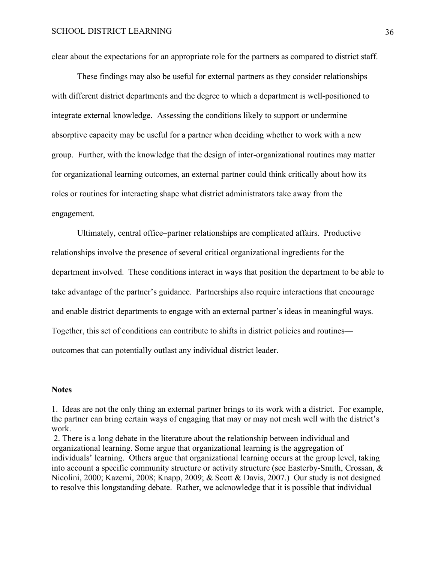clear about the expectations for an appropriate role for the partners as compared to district staff.

These findings may also be useful for external partners as they consider relationships with different district departments and the degree to which a department is well-positioned to integrate external knowledge. Assessing the conditions likely to support or undermine absorptive capacity may be useful for a partner when deciding whether to work with a new group. Further, with the knowledge that the design of inter-organizational routines may matter for organizational learning outcomes, an external partner could think critically about how its roles or routines for interacting shape what district administrators take away from the engagement.

Ultimately, central office–partner relationships are complicated affairs. Productive relationships involve the presence of several critical organizational ingredients for the department involved. These conditions interact in ways that position the department to be able to take advantage of the partner's guidance. Partnerships also require interactions that encourage and enable district departments to engage with an external partner's ideas in meaningful ways. Together, this set of conditions can contribute to shifts in district policies and routines outcomes that can potentially outlast any individual district leader.

#### **Notes**

1. Ideas are not the only thing an external partner brings to its work with a district. For example, the partner can bring certain ways of engaging that may or may not mesh well with the district's work.

2. There is a long debate in the literature about the relationship between individual and organizational learning. Some argue that organizational learning is the aggregation of individuals' learning. Others argue that organizational learning occurs at the group level, taking into account a specific community structure or activity structure (see Easterby-Smith, Crossan, & Nicolini, 2000; Kazemi, 2008; Knapp, 2009; & Scott & Davis, 2007.) Our study is not designed to resolve this longstanding debate. Rather, we acknowledge that it is possible that individual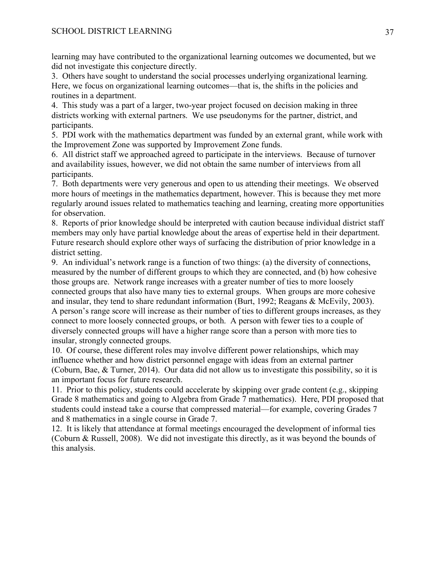learning may have contributed to the organizational learning outcomes we documented, but we did not investigate this conjecture directly.

3. Others have sought to understand the social processes underlying organizational learning. Here, we focus on organizational learning outcomes—that is, the shifts in the policies and routines in a department.

4. This study was a part of a larger, two-year project focused on decision making in three districts working with external partners. We use pseudonyms for the partner, district, and participants.

5. PDI work with the mathematics department was funded by an external grant, while work with the Improvement Zone was supported by Improvement Zone funds.

6. All district staff we approached agreed to participate in the interviews. Because of turnover and availability issues, however, we did not obtain the same number of interviews from all participants.

7. Both departments were very generous and open to us attending their meetings. We observed more hours of meetings in the mathematics department, however. This is because they met more regularly around issues related to mathematics teaching and learning, creating more opportunities for observation.

8. Reports of prior knowledge should be interpreted with caution because individual district staff members may only have partial knowledge about the areas of expertise held in their department. Future research should explore other ways of surfacing the distribution of prior knowledge in a district setting.

9. An individual's network range is a function of two things: (a) the diversity of connections, measured by the number of different groups to which they are connected, and (b) how cohesive those groups are. Network range increases with a greater number of ties to more loosely connected groups that also have many ties to external groups. When groups are more cohesive and insular, they tend to share redundant information (Burt, 1992; Reagans & McEvily, 2003). A person's range score will increase as their number of ties to different groups increases, as they connect to more loosely connected groups, or both. A person with fewer ties to a couple of diversely connected groups will have a higher range score than a person with more ties to insular, strongly connected groups.

10. Of course, these different roles may involve different power relationships, which may influence whether and how district personnel engage with ideas from an external partner (Coburn, Bae, & Turner, 2014). Our data did not allow us to investigate this possibility, so it is an important focus for future research.

11. Prior to this policy, students could accelerate by skipping over grade content (e.g., skipping Grade 8 mathematics and going to Algebra from Grade 7 mathematics). Here, PDI proposed that students could instead take a course that compressed material—for example, covering Grades 7 and 8 mathematics in a single course in Grade 7.

12. It is likely that attendance at formal meetings encouraged the development of informal ties (Coburn & Russell, 2008). We did not investigate this directly, as it was beyond the bounds of this analysis.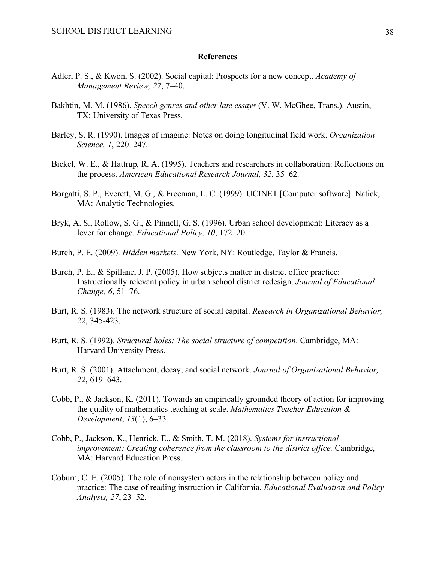#### **References**

- Adler, P. S., & Kwon, S. (2002). Social capital: Prospects for a new concept. *Academy of Management Review, 27*, 7–40.
- Bakhtin, M. M. (1986). *Speech genres and other late essays* (V. W. McGhee, Trans.). Austin, TX: University of Texas Press.
- Barley, S. R. (1990). Images of imagine: Notes on doing longitudinal field work. *Organization Science, 1*, 220–247.
- Bickel, W. E., & Hattrup, R. A. (1995). Teachers and researchers in collaboration: Reflections on the process. *American Educational Research Journal, 32*, 35–62.
- Borgatti, S. P., Everett, M. G., & Freeman, L. C. (1999). UCINET [Computer software]. Natick, MA: Analytic Technologies.
- Bryk, A. S., Rollow, S. G., & Pinnell, G. S. (1996). Urban school development: Literacy as a lever for change. *Educational Policy, 10*, 172–201.
- Burch, P. E. (2009). *Hidden markets*. New York, NY: Routledge, Taylor & Francis.
- Burch, P. E., & Spillane, J. P. (2005). How subjects matter in district office practice: Instructionally relevant policy in urban school district redesign. *Journal of Educational Change, 6*, 51–76.
- Burt, R. S. (1983). The network structure of social capital. *Research in Organizational Behavior, 22*, 345-423.
- Burt, R. S. (1992). *Structural holes: The social structure of competition*. Cambridge, MA: Harvard University Press.
- Burt, R. S. (2001). Attachment, decay, and social network. *Journal of Organizational Behavior, 22*, 619–643.
- Cobb, P., & Jackson, K. (2011). Towards an empirically grounded theory of action for improving the quality of mathematics teaching at scale. *Mathematics Teacher Education & Development*, *13*(1), 6–33.
- Cobb, P., Jackson, K., Henrick, E., & Smith, T. M. (2018). *Systems for instructional improvement: Creating coherence from the classroom to the district office.* Cambridge, MA: Harvard Education Press.
- Coburn, C. E. (2005). The role of nonsystem actors in the relationship between policy and practice: The case of reading instruction in California. *Educational Evaluation and Policy Analysis, 27*, 23–52.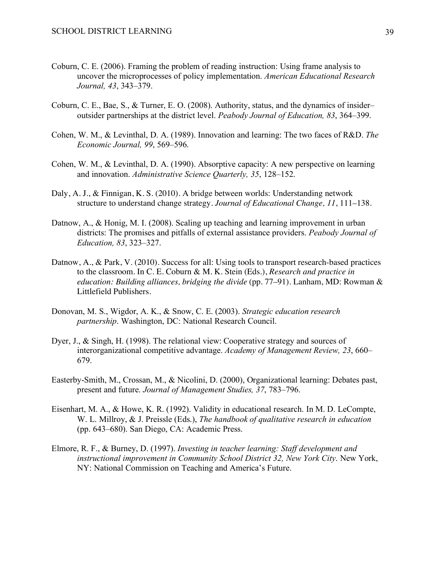- Coburn, C. E. (2006). Framing the problem of reading instruction: Using frame analysis to uncover the microprocesses of policy implementation. *American Educational Research Journal, 43*, 343–379.
- Coburn, C. E., Bae, S., & Turner, E. O. (2008). Authority, status, and the dynamics of insider– outsider partnerships at the district level. *Peabody Journal of Education, 83*, 364–399.
- Cohen, W. M., & Levinthal, D. A. (1989). Innovation and learning: The two faces of R&D. *The Economic Journal, 99*, 569–596.
- Cohen, W. M., & Levinthal, D. A. (1990). Absorptive capacity: A new perspective on learning and innovation. *Administrative Science Quarterly, 35*, 128–152.
- Daly, A. J., & Finnigan, K. S. (2010). A bridge between worlds: Understanding network structure to understand change strategy. *Journal of Educational Change, 11*, 111–138.
- Datnow, A., & Honig, M. I. (2008). Scaling up teaching and learning improvement in urban districts: The promises and pitfalls of external assistance providers. *Peabody Journal of Education, 83*, 323–327.
- Datnow, A., & Park, V. (2010). Success for all: Using tools to transport research-based practices to the classroom. In C. E. Coburn & M. K. Stein (Eds*.*), *Research and practice in education: Building alliances, bridging the divide* (pp. 77–91). Lanham, MD: Rowman & Littlefield Publishers.
- Donovan, M. S., Wigdor, A. K., & Snow, C. E. (2003). *Strategic education research partnership*. Washington, DC: National Research Council.
- Dyer, J., & Singh, H. (1998). The relational view: Cooperative strategy and sources of interorganizational competitive advantage. *Academy of Management Review, 23*, 660– 679.
- Easterby-Smith, M., Crossan, M., & Nicolini, D. (2000), Organizational learning: Debates past, present and future. *Journal of Management Studies, 37*, 783–796.
- Eisenhart, M. A., & Howe, K. R. (1992). Validity in educational research. In M. D. LeCompte, W. L. Millroy, & J. Preissle (Eds.), *The handbook of qualitative research in education* (pp. 643–680). San Diego, CA: Academic Press.
- Elmore, R. F., & Burney, D. (1997). *Investing in teacher learning: Staff development and instructional improvement in Community School District 32, New York City*. New York, NY: National Commission on Teaching and America's Future.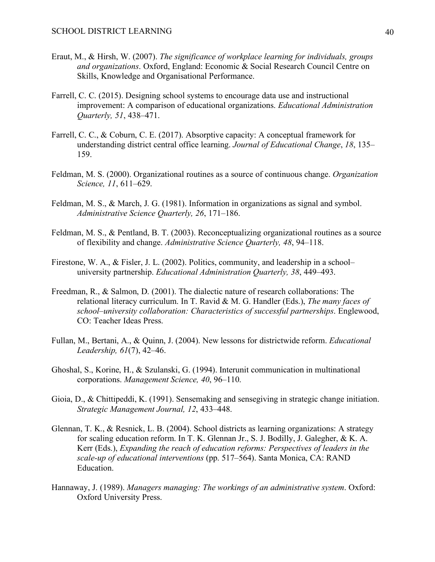- Eraut, M., & Hirsh, W. (2007). *The significance of workplace learning for individuals, groups and organizations*. Oxford, England: Economic & Social Research Council Centre on Skills, Knowledge and Organisational Performance.
- Farrell, C. C. (2015). Designing school systems to encourage data use and instructional improvement: A comparison of educational organizations. *Educational Administration Quarterly, 51*, 438–471.
- Farrell, C. C., & Coburn, C. E. (2017). Absorptive capacity: A conceptual framework for understanding district central office learning. *Journal of Educational Change*, *18*, 135– 159.
- Feldman, M. S. (2000). Organizational routines as a source of continuous change. *Organization Science, 11*, 611–629.
- Feldman, M. S., & March, J. G. (1981). Information in organizations as signal and symbol. *Administrative Science Quarterly, 26*, 171–186.
- Feldman, M. S., & Pentland, B. T. (2003). Reconceptualizing organizational routines as a source of flexibility and change. *Administrative Science Quarterly, 48*, 94–118.
- Firestone, W. A., & Fisler, J. L. (2002). Politics, community, and leadership in a school– university partnership. *Educational Administration Quarterly, 38*, 449–493.
- Freedman, R., & Salmon, D. (2001). The dialectic nature of research collaborations: The relational literacy curriculum. In T. Ravid & M. G. Handler (Eds.), *The many faces of school–university collaboration: Characteristics of successful partnerships*. Englewood, CO: Teacher Ideas Press.
- Fullan, M., Bertani, A., & Quinn, J. (2004). New lessons for districtwide reform. *Educational Leadership, 61*(7), 42–46.
- Ghoshal, S., Korine, H., & Szulanski, G. (1994). Interunit communication in multinational corporations. *Management Science, 40*, 96–110.
- Gioia, D., & Chittipeddi, K. (1991). Sensemaking and sensegiving in strategic change initiation. *Strategic Management Journal, 12*, 433–448.
- Glennan, T. K., & Resnick, L. B. (2004). School districts as learning organizations: A strategy for scaling education reform. In T. K. Glennan Jr., S. J. Bodilly, J. Galegher, & K. A. Kerr (Eds.), *Expanding the reach of education reforms: Perspectives of leaders in the scale-up of educational interventions* (pp. 517–564). Santa Monica, CA: RAND Education.
- Hannaway, J. (1989). *Managers managing: The workings of an administrative system*. Oxford: Oxford University Press.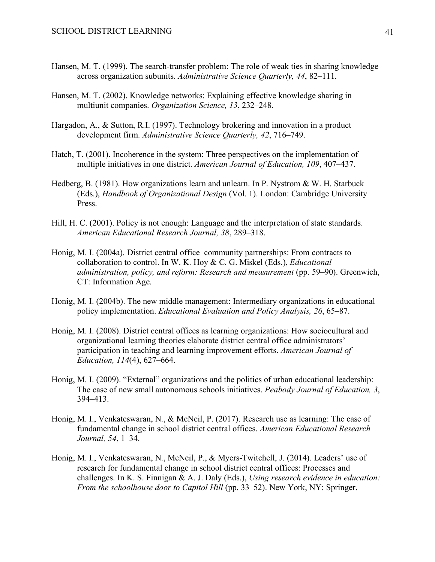- Hansen, M. T. (1999). The search-transfer problem: The role of weak ties in sharing knowledge across organization subunits. *Administrative Science Quarterly, 44*, 82–111.
- Hansen, M. T. (2002). Knowledge networks: Explaining effective knowledge sharing in multiunit companies. *Organization Science, 13*, 232–248.
- Hargadon, A., & Sutton, R.I. (1997). Technology brokering and innovation in a product development firm. *Administrative Science Quarterly, 42*, 716–749.
- Hatch, T. (2001). Incoherence in the system: Three perspectives on the implementation of multiple initiatives in one district. *American Journal of Education, 109*, 407–437.
- Hedberg, B. (1981). How organizations learn and unlearn. In P. Nystrom & W. H. Starbuck (Eds.), *Handbook of Organizational Design* (Vol. 1). London: Cambridge University Press.
- Hill, H. C. (2001). Policy is not enough: Language and the interpretation of state standards. *American Educational Research Journal, 38*, 289–318.
- Honig, M. I. (2004a). District central office–community partnerships: From contracts to collaboration to control. In W. K. Hoy & C. G. Miskel (Eds.), *Educational administration, policy, and reform: Research and measurement* (pp. 59–90). Greenwich, CT: Information Age.
- Honig, M. I. (2004b). The new middle management: Intermediary organizations in educational policy implementation. *Educational Evaluation and Policy Analysis, 26*, 65–87.
- Honig, M. I. (2008). District central offices as learning organizations: How sociocultural and organizational learning theories elaborate district central office administrators' participation in teaching and learning improvement efforts. *American Journal of Education, 114*(4), 627–664.
- Honig, M. I. (2009). "External" organizations and the politics of urban educational leadership: The case of new small autonomous schools initiatives. *Peabody Journal of Education, 3*, 394–413.
- Honig, M. I., Venkateswaran, N., & McNeil, P. (2017). Research use as learning: The case of fundamental change in school district central offices. *American Educational Research Journal, 54*, 1–34.
- Honig, M. I., Venkateswaran, N., McNeil, P., & Myers-Twitchell, J. (2014). Leaders' use of research for fundamental change in school district central offices: Processes and challenges. In K. S. Finnigan & A. J. Daly (Eds.), *Using research evidence in education: From the schoolhouse door to Capitol Hill* (pp. 33–52). New York, NY: Springer.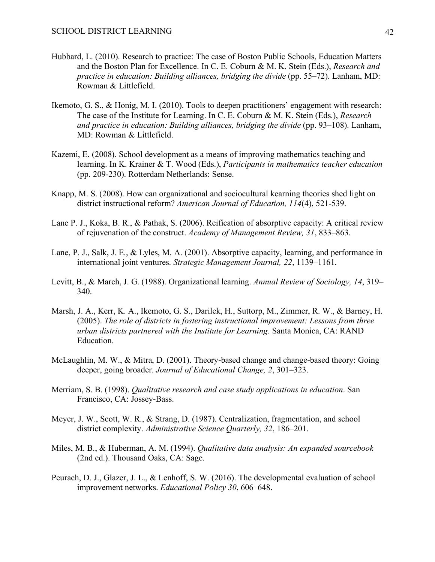- Hubbard, L. (2010). Research to practice: The case of Boston Public Schools, Education Matters and the Boston Plan for Excellence. In C. E. Coburn & M. K. Stein (Eds.), *Research and practice in education: Building alliances, bridging the divide* (pp. 55–72). Lanham, MD: Rowman & Littlefield.
- Ikemoto, G. S., & Honig, M. I. (2010). Tools to deepen practitioners' engagement with research: The case of the Institute for Learning. In C. E. Coburn & M. K. Stein (Eds.), *Research and practice in education: Building alliances, bridging the divide* (pp. 93–108). Lanham, MD: Rowman & Littlefield.
- Kazemi, E. (2008). School development as a means of improving mathematics teaching and learning. In K. Krainer & T. Wood (Eds.), *Participants in mathematics teacher education* (pp. 209-230). Rotterdam Netherlands: Sense.
- Knapp, M. S. (2008). How can organizational and sociocultural kearning theories shed light on district instructional reform? *American Journal of Education, 114*(4), 521-539.
- Lane P. J., Koka, B. R., & Pathak, S. (2006). Reification of absorptive capacity: A critical review of rejuvenation of the construct. *Academy of Management Review, 31*, 833–863.
- Lane, P. J., Salk, J. E., & Lyles, M. A. (2001). Absorptive capacity, learning, and performance in international joint ventures. *Strategic Management Journal, 22*, 1139–1161.
- Levitt, B., & March, J. G. (1988). Organizational learning. *Annual Review of Sociology, 14*, 319– 340.
- Marsh, J. A., Kerr, K. A., Ikemoto, G. S., Darilek, H., Suttorp, M., Zimmer, R. W., & Barney, H. (2005). *The role of districts in fostering instructional improvement: Lessons from three urban districts partnered with the Institute for Learning*. Santa Monica, CA: RAND Education.
- McLaughlin, M. W., & Mitra, D. (2001). Theory-based change and change-based theory: Going deeper, going broader. *Journal of Educational Change, 2*, 301–323.
- Merriam, S. B. (1998). *Qualitative research and case study applications in education*. San Francisco, CA: Jossey-Bass.
- Meyer, J. W., Scott, W. R., & Strang, D. (1987). Centralization, fragmentation, and school district complexity. *Administrative Science Quarterly, 32*, 186–201.
- Miles, M. B., & Huberman, A. M. (1994). *Qualitative data analysis: An expanded sourcebook* (2nd ed.). Thousand Oaks, CA: Sage.
- Peurach, D. J., Glazer, J. L., & Lenhoff, S. W. (2016). The developmental evaluation of school improvement networks. *Educational Policy 30*, 606–648.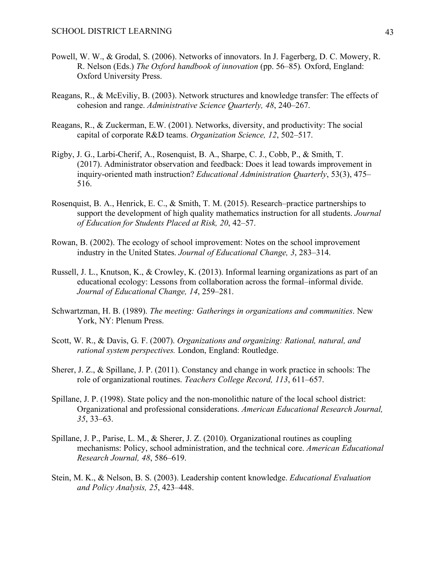- Powell, W. W., & Grodal, S. (2006). Networks of innovators. In J. Fagerberg, D. C. Mowery, R. R. Nelson (Eds.) *The Oxford handbook of innovation* (pp. 56–85)*.* Oxford, England: Oxford University Press.
- Reagans, R., & McEviliy, B. (2003). Network structures and knowledge transfer: The effects of cohesion and range. *Administrative Science Quarterly, 48*, 240–267.
- Reagans, R., & Zuckerman, E.W. (2001). Networks, diversity, and productivity: The social capital of corporate R&D teams. *Organization Science, 12*, 502–517.
- Rigby, J. G., Larbi-Cherif, A., Rosenquist, B. A., Sharpe, C. J., Cobb, P., & Smith, T. (2017). Administrator observation and feedback: Does it lead towards improvement in inquiry-oriented math instruction? *Educational Administration Quarterly*, 53(3), 475– 516.
- Rosenquist, B. A., Henrick, E. C., & Smith, T. M. (2015). Research–practice partnerships to support the development of high quality mathematics instruction for all students. *Journal of Education for Students Placed at Risk, 20*, 42–57.
- Rowan, B. (2002). The ecology of school improvement: Notes on the school improvement industry in the United States. *Journal of Educational Change, 3*, 283–314.
- Russell, J. L., Knutson, K., & Crowley, K. (2013). Informal learning organizations as part of an educational ecology: Lessons from collaboration across the formal–informal divide. *Journal of Educational Change, 14*, 259–281.
- Schwartzman, H. B. (1989). *The meeting: Gatherings in organizations and communities*. New York, NY: Plenum Press.
- Scott, W. R., & Davis, G. F. (2007). *Organizations and organizing: Rational, natural, and rational system perspectives.* London, England: Routledge.
- Sherer, J. Z., & Spillane, J. P. (2011). Constancy and change in work practice in schools: The role of organizational routines. *Teachers College Record, 113*, 611–657.
- Spillane, J. P. (1998). State policy and the non-monolithic nature of the local school district: Organizational and professional considerations. *American Educational Research Journal, 35*, 33–63.
- Spillane, J. P., Parise, L. M., & Sherer, J. Z. (2010). Organizational routines as coupling mechanisms: Policy, school administration, and the technical core. *American Educational Research Journal, 48*, 586–619.
- Stein, M. K., & Nelson, B. S. (2003). Leadership content knowledge. *Educational Evaluation and Policy Analysis, 25*, 423–448.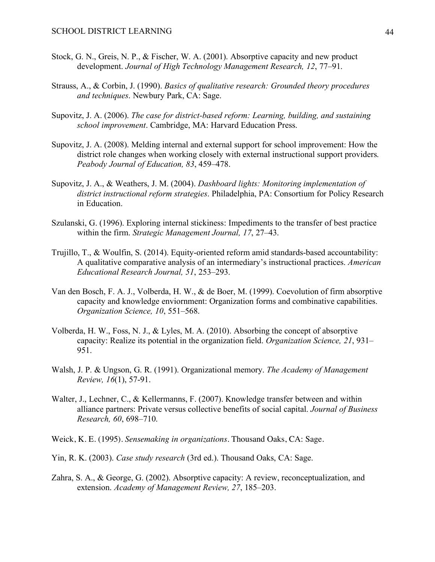- Stock, G. N., Greis, N. P., & Fischer, W. A. (2001). Absorptive capacity and new product development. *Journal of High Technology Management Research, 12*, 77–91.
- Strauss, A., & Corbin, J. (1990). *Basics of qualitative research: Grounded theory procedures and techniques*. Newbury Park, CA: Sage.
- Supovitz, J. A. (2006). *The case for district-based reform: Learning, building, and sustaining school improvement*. Cambridge, MA: Harvard Education Press.
- Supovitz, J. A. (2008). Melding internal and external support for school improvement: How the district role changes when working closely with external instructional support providers. *Peabody Journal of Education, 83*, 459–478.
- Supovitz, J. A., & Weathers, J. M. (2004). *Dashboard lights: Monitoring implementation of district instructional reform strategies*. Philadelphia, PA: Consortium for Policy Research in Education.
- Szulanski, G. (1996). Exploring internal stickiness: Impediments to the transfer of best practice within the firm. *Strategic Management Journal, 17*, 27–43.
- Trujillo, T., & Woulfin, S. (2014). Equity-oriented reform amid standards-based accountability: A qualitative comparative analysis of an intermediary's instructional practices. *American Educational Research Journal, 51*, 253–293.
- Van den Bosch, F. A. J., Volberda, H. W., & de Boer, M. (1999). Coevolution of firm absorptive capacity and knowledge enviornment: Organization forms and combinative capabilities. *Organization Science, 10*, 551–568.
- Volberda, H. W., Foss, N. J., & Lyles, M. A. (2010). Absorbing the concept of absorptive capacity: Realize its potential in the organization field. *Organization Science, 21*, 931– 951.
- Walsh, J. P. & Ungson, G. R. (1991). Organizational memory. *The Academy of Management Review, 16*(1), 57-91.
- Walter, J., Lechner, C., & Kellermanns, F. (2007). Knowledge transfer between and within alliance partners: Private versus collective benefits of social capital. *Journal of Business Research, 60*, 698–710.
- Weick, K. E. (1995). *Sensemaking in organizations*. Thousand Oaks, CA: Sage.
- Yin, R. K. (2003). *Case study research* (3rd ed.). Thousand Oaks, CA: Sage.
- Zahra, S. A., & George, G. (2002). Absorptive capacity: A review, reconceptualization, and extension. *Academy of Management Review, 27*, 185–203.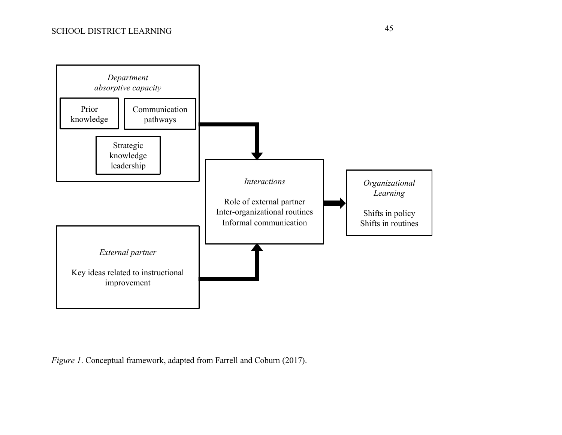

*Figure 1*. Conceptual framework, adapted from Farrell and Coburn (2017).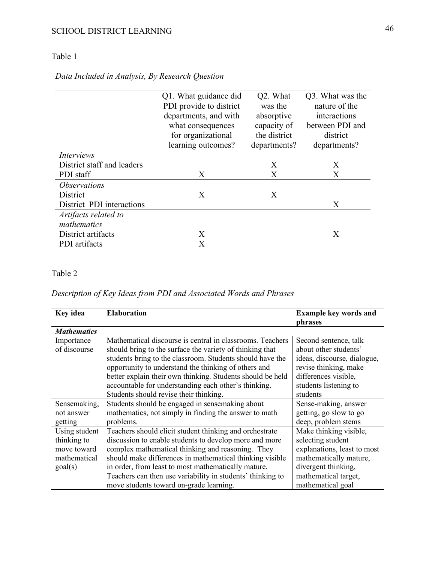# Table 1

# *Data Included in Analysis, By Research Question*

|                            | Q1. What guidance did   | Q2. What     | Q3. What was the |
|----------------------------|-------------------------|--------------|------------------|
|                            | PDI provide to district | was the      | nature of the    |
|                            | departments, and with   | absorptive   | interactions     |
|                            | what consequences       | capacity of  | between PDI and  |
|                            | for organizational      | the district | district         |
|                            | learning outcomes?      | departments? | departments?     |
| Interviews                 |                         |              |                  |
| District staff and leaders |                         | X            | X                |
| PDI staff                  | X                       | X            | X                |
| <i><b>Observations</b></i> |                         |              |                  |
| <b>District</b>            | X                       | X            |                  |
| District-PDI interactions  |                         |              | X                |
| Artifacts related to       |                         |              |                  |
| mathematics                |                         |              |                  |
| District artifacts         | X                       |              | X                |
| PDI artifacts              | $\rm X$                 |              |                  |

## Table 2

## *Description of Key Ideas from PDI and Associated Words and Phrases*

| Key idea                                                               | <b>Elaboration</b>                                                                                                                                                                                                                                                                                                                                                                                         | <b>Example key words and</b><br>phrases                                                                                                                                  |
|------------------------------------------------------------------------|------------------------------------------------------------------------------------------------------------------------------------------------------------------------------------------------------------------------------------------------------------------------------------------------------------------------------------------------------------------------------------------------------------|--------------------------------------------------------------------------------------------------------------------------------------------------------------------------|
| <b>Mathematics</b>                                                     |                                                                                                                                                                                                                                                                                                                                                                                                            |                                                                                                                                                                          |
| Importance<br>of discourse                                             | Mathematical discourse is central in classrooms. Teachers<br>should bring to the surface the variety of thinking that<br>students bring to the classroom. Students should have the<br>opportunity to understand the thinking of others and<br>better explain their own thinking. Students should be held<br>accountable for understanding each other's thinking.<br>Students should revise their thinking. | Second sentence, talk<br>about other students'<br>ideas, discourse, dialogue,<br>revise thinking, make<br>differences visible,<br>students listening to<br>students      |
| Sensemaking,<br>not answer<br>getting                                  | Students should be engaged in sensemaking about<br>mathematics, not simply in finding the answer to math<br>problems.                                                                                                                                                                                                                                                                                      | Sense-making, answer<br>getting, go slow to go<br>deep, problem stems                                                                                                    |
| Using student<br>thinking to<br>move toward<br>mathematical<br>goal(s) | Teachers should elicit student thinking and orchestrate<br>discussion to enable students to develop more and more<br>complex mathematical thinking and reasoning. They<br>should make differences in mathematical thinking visible<br>in order, from least to most mathematically mature.<br>Teachers can then use variability in students' thinking to<br>move students toward on-grade learning.         | Make thinking visible,<br>selecting student<br>explanations, least to most<br>mathematically mature,<br>divergent thinking,<br>mathematical target,<br>mathematical goal |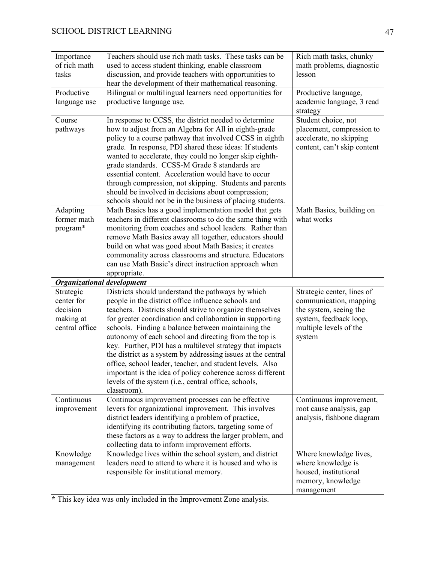| Importance                        | Teachers should use rich math tasks. These tasks can be                                                         | Rich math tasks, chunky                           |
|-----------------------------------|-----------------------------------------------------------------------------------------------------------------|---------------------------------------------------|
| of rich math                      | used to access student thinking, enable classroom                                                               | math problems, diagnostic                         |
| tasks                             | discussion, and provide teachers with opportunities to                                                          | lesson                                            |
|                                   | hear the development of their mathematical reasoning.                                                           |                                                   |
| Productive                        | Bilingual or multilingual learners need opportunities for<br>productive language use.                           | Productive language,<br>academic language, 3 read |
| language use                      |                                                                                                                 | strategy                                          |
| Course                            | In response to CCSS, the district needed to determine                                                           | Student choice, not                               |
| pathways                          | how to adjust from an Algebra for All in eighth-grade                                                           | placement, compression to                         |
|                                   | policy to a course pathway that involved CCSS in eighth                                                         | accelerate, no skipping                           |
|                                   | grade. In response, PDI shared these ideas: If students                                                         | content, can't skip content                       |
|                                   | wanted to accelerate, they could no longer skip eighth-                                                         |                                                   |
|                                   | grade standards. CCSS-M Grade 8 standards are                                                                   |                                                   |
|                                   | essential content. Acceleration would have to occur                                                             |                                                   |
|                                   | through compression, not skipping. Students and parents                                                         |                                                   |
|                                   | should be involved in decisions about compression;                                                              |                                                   |
|                                   | schools should not be in the business of placing students.                                                      |                                                   |
| Adapting                          | Math Basics has a good implementation model that gets                                                           | Math Basics, building on                          |
| former math                       | teachers in different classrooms to do the same thing with                                                      | what works                                        |
| program*                          | monitoring from coaches and school leaders. Rather than                                                         |                                                   |
|                                   | remove Math Basics away all together, educators should                                                          |                                                   |
|                                   | build on what was good about Math Basics; it creates<br>commonality across classrooms and structure. Educators  |                                                   |
|                                   | can use Math Basic's direct instruction approach when                                                           |                                                   |
|                                   | appropriate.                                                                                                    |                                                   |
|                                   |                                                                                                                 |                                                   |
|                                   |                                                                                                                 |                                                   |
| <b>Organizational development</b> |                                                                                                                 |                                                   |
| Strategic<br>center for           | Districts should understand the pathways by which                                                               | Strategic center, lines of                        |
| decision                          | people in the district office influence schools and<br>teachers. Districts should strive to organize themselves | communication, mapping<br>the system, seeing the  |
| making at                         | for greater coordination and collaboration in supporting                                                        | system, feedback loop,                            |
| central office                    | schools. Finding a balance between maintaining the                                                              | multiple levels of the                            |
|                                   | autonomy of each school and directing from the top is                                                           | system                                            |
|                                   | key. Further, PDI has a multilevel strategy that impacts                                                        |                                                   |
|                                   | the district as a system by addressing issues at the central                                                    |                                                   |
|                                   | office, school leader, teacher, and student levels. Also                                                        |                                                   |
|                                   | important is the idea of policy coherence across different                                                      |                                                   |
|                                   | levels of the system (i.e., central office, schools,                                                            |                                                   |
|                                   | classroom).                                                                                                     |                                                   |
| Continuous                        | Continuous improvement processes can be effective                                                               | Continuous improvement,                           |
| improvement                       | levers for organizational improvement. This involves                                                            | root cause analysis, gap                          |
|                                   | district leaders identifying a problem of practice,                                                             | analysis, fishbone diagram                        |
|                                   | identifying its contributing factors, targeting some of                                                         |                                                   |
|                                   | these factors as a way to address the larger problem, and                                                       |                                                   |
| Knowledge                         | collecting data to inform improvement efforts.<br>Knowledge lives within the school system, and district        | Where knowledge lives,                            |
| management                        | leaders need to attend to where it is housed and who is                                                         | where knowledge is                                |
|                                   | responsible for institutional memory.                                                                           | housed, institutional                             |
|                                   |                                                                                                                 | memory, knowledge                                 |

**\*** This key idea was only included in the Improvement Zone analysis.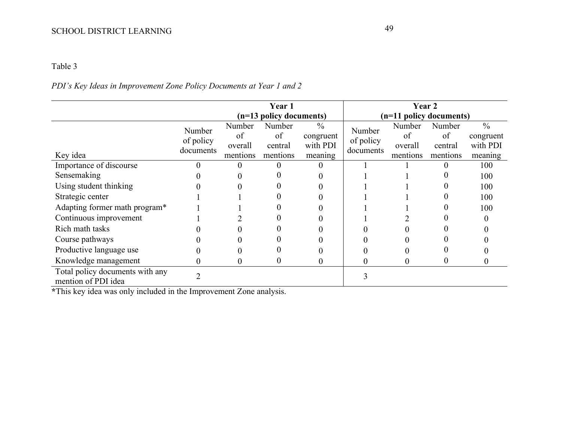# Table 3

## *PDI's Key Ideas in Improvement Zone Policy Documents at Year 1 and 2*

|                                                        | Year 1    |                         |          | Year 2        |                         |          |          |               |
|--------------------------------------------------------|-----------|-------------------------|----------|---------------|-------------------------|----------|----------|---------------|
|                                                        |           | (n=13 policy documents) |          |               | (n=11 policy documents) |          |          |               |
|                                                        | Number    | Number                  | Number   | $\frac{0}{0}$ | Number                  | Number   | Number   | $\frac{0}{0}$ |
|                                                        | of policy | of                      | of       | congruent     | of policy               | of       | of       | congruent     |
|                                                        | documents | overall                 | central  | with PDI      | documents               | overall  | central  | with PDI      |
| Key idea                                               |           | mentions                | mentions | meaning       |                         | mentions | mentions | meaning       |
| Importance of discourse                                |           |                         |          |               |                         |          |          | 100           |
| Sensemaking                                            |           |                         |          |               |                         |          |          | 100           |
| Using student thinking                                 |           |                         |          |               |                         |          |          | 100           |
| Strategic center                                       |           |                         |          |               |                         |          |          | 100           |
| Adapting former math program*                          |           |                         |          |               |                         |          |          | 100           |
| Continuous improvement                                 |           |                         |          |               |                         |          |          |               |
| Rich math tasks                                        |           |                         |          |               |                         |          |          |               |
| Course pathways                                        |           |                         |          |               |                         |          |          |               |
| Productive language use                                |           |                         |          |               |                         |          |          |               |
| Knowledge management                                   |           |                         |          |               |                         | 0        |          |               |
| Total policy documents with any<br>mention of PDI idea |           |                         |          |               |                         |          |          |               |

**\***This key idea was only included in the Improvement Zone analysis.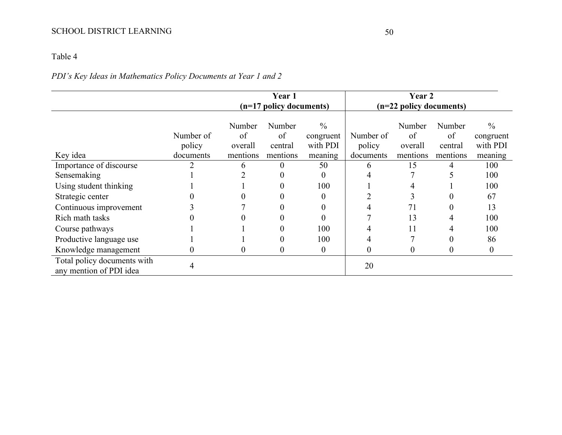# *PDI's Key Ideas in Mathematics Policy Documents at Year 1 and 2*

|                                                        | <b>Year 1</b>       |                         |                         | Year 2                                 |                     |                         |                         |                                        |
|--------------------------------------------------------|---------------------|-------------------------|-------------------------|----------------------------------------|---------------------|-------------------------|-------------------------|----------------------------------------|
|                                                        |                     | (n=17 policy documents) |                         | (n=22 policy documents)                |                     |                         |                         |                                        |
|                                                        | Number of<br>policy | Number<br>of<br>overall | Number<br>of<br>central | $\frac{0}{0}$<br>congruent<br>with PDI | Number of<br>policy | Number<br>of<br>overall | Number<br>of<br>central | $\frac{0}{0}$<br>congruent<br>with PDI |
| Key idea                                               | documents           | mentions                | mentions                | meaning                                | documents           | mentions                | mentions                | meaning                                |
| Importance of discourse                                |                     | 6                       | $\Omega$                | 50                                     | 6                   | 15                      | 4                       | 100                                    |
| Sensemaking                                            |                     |                         |                         | $\theta$                               |                     |                         |                         | 100                                    |
| Using student thinking                                 |                     |                         | O                       | 100                                    |                     | 4                       |                         | 100                                    |
| Strategic center                                       |                     |                         |                         | $\Omega$                               |                     | 3                       |                         | 67                                     |
| Continuous improvement                                 |                     |                         |                         |                                        |                     | 71                      |                         | 13                                     |
| Rich math tasks                                        |                     |                         |                         |                                        |                     | 13                      |                         | 100                                    |
| Course pathways                                        |                     |                         |                         | 100                                    |                     | 11                      |                         | 100                                    |
| Productive language use                                |                     |                         | $\Omega$                | 100                                    | 4                   |                         |                         | 86                                     |
| Knowledge management                                   | $\theta$            | $\Omega$                | $\Omega$                | $\overline{0}$                         | 0                   | $\theta$                | $\Omega$                | $\boldsymbol{0}$                       |
| Total policy documents with<br>any mention of PDI idea | 4                   |                         |                         |                                        | 20                  |                         |                         |                                        |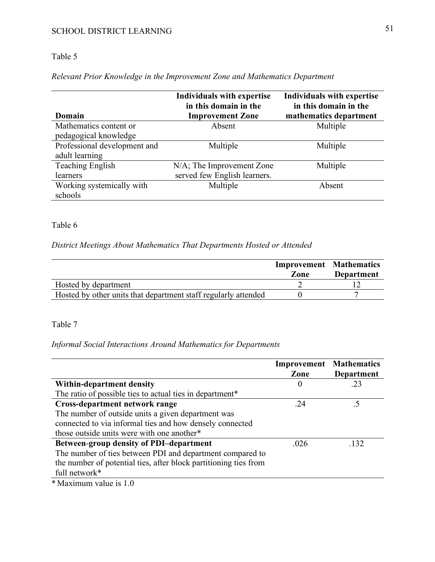# Table 5

## *Relevant Prior Knowledge in the Improvement Zone and Mathematics Department*

|                              | <b>Individuals with expertise</b><br>in this domain in the | <b>Individuals with expertise</b><br>in this domain in the |
|------------------------------|------------------------------------------------------------|------------------------------------------------------------|
| Domain                       | <b>Improvement Zone</b>                                    | mathematics department                                     |
| Mathematics content or       | Absent                                                     | Multiple                                                   |
| pedagogical knowledge        |                                                            |                                                            |
| Professional development and | Multiple                                                   | Multiple                                                   |
| adult learning               |                                                            |                                                            |
| <b>Teaching English</b>      | N/A; The Improvement Zone                                  | Multiple                                                   |
| learners                     | served few English learners.                               |                                                            |
| Working systemically with    | Multiple                                                   | Absent                                                     |
| schools                      |                                                            |                                                            |

## Table 6

## *District Meetings About Mathematics That Departments Hosted or Attended*

|                                                                | <b>Improvement Mathematics</b><br>Zone | <b>Department</b> |
|----------------------------------------------------------------|----------------------------------------|-------------------|
| Hosted by department                                           |                                        |                   |
| Hosted by other units that department staff regularly attended |                                        |                   |

### Table 7

### *Informal Social Interactions Around Mathematics for Departments*

|                                                                  | <b>Improvement Mathematics</b> |                   |
|------------------------------------------------------------------|--------------------------------|-------------------|
|                                                                  | Zone                           | <b>Department</b> |
| Within-department density                                        | $\theta$                       | .23               |
| The ratio of possible ties to actual ties in department*         |                                |                   |
| Cross-department network range                                   | .24                            |                   |
| The number of outside units a given department was               |                                |                   |
| connected to via informal ties and how densely connected         |                                |                   |
| those outside units were with one another*                       |                                |                   |
| <b>Between-group density of PDI-department</b>                   | .026                           | .132              |
| The number of ties between PDI and department compared to        |                                |                   |
| the number of potential ties, after block partitioning ties from |                                |                   |
| full network*                                                    |                                |                   |
| $*$ Maximum value is 1.0                                         |                                |                   |

Maximum value is 1.0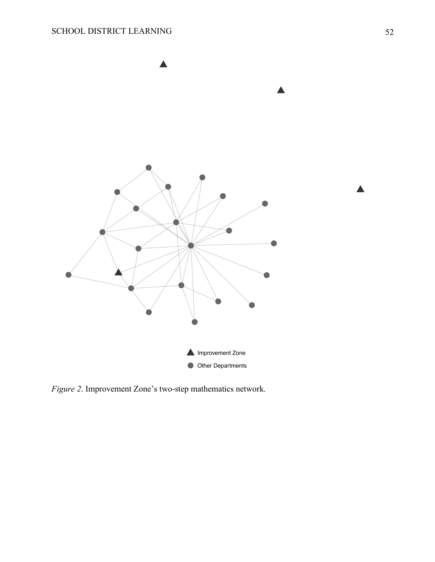

*Figure 2*. Improvement Zone's two-step mathematics network.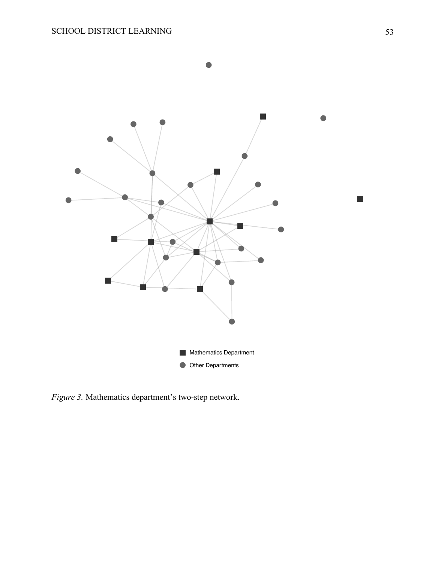

*Figure 3.* Mathematics department's two-step network.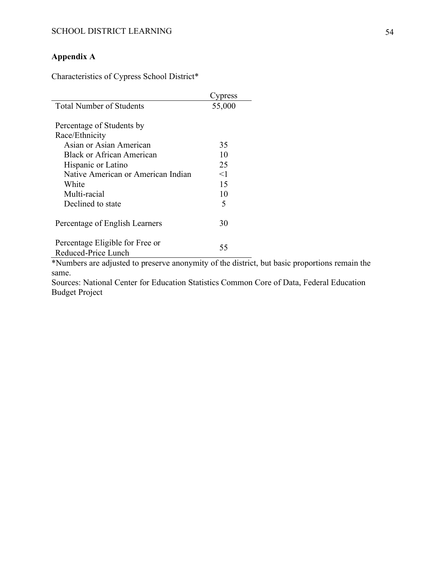# **Appendix A**

Characteristics of Cypress School District\*

|                                                                      | press  |
|----------------------------------------------------------------------|--------|
| <b>Total Number of Students</b>                                      | 55,000 |
|                                                                      |        |
| Percentage of Students by                                            |        |
| Race/Ethnicity                                                       |        |
| Asian or Asian American                                              | 35     |
| Black or African American                                            | 10     |
| Hispanic or Latino                                                   | 25     |
| Native American or American Indian                                   | <1     |
| White                                                                | 15     |
| Multi-racial                                                         | 10     |
| Declined to state                                                    | 5      |
| Percentage of English Learners                                       | 30     |
| Percentage Eligible for Free or<br>Reduced-Price Lunch               | 55     |
| $*$ Numbers are adjusted to presence energy interest of the district |        |

\*Numbers are adjusted to preserve anonymity of the district, but basic proportions remain the same.

Sources: National Center for Education Statistics Common Core of Data, Federal Education Budget Project